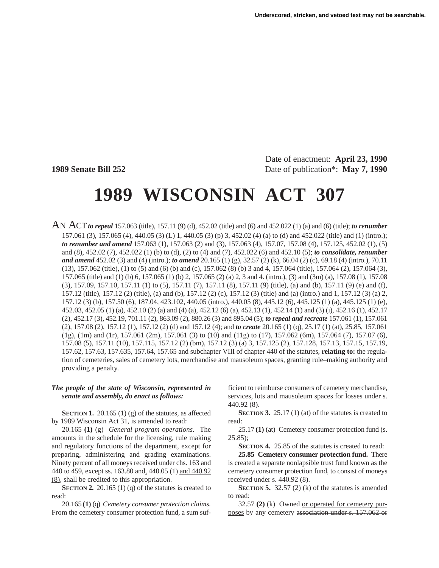Date of enactment: **April 23, 1990 1989 Senate Bill 252** Date of publication\*: **May 7, 1990** 

# **1989 WISCONSIN ACT 307**

AN ACT*to repeal* 157.063 (title), 157.11 (9) (d), 452.02 (title) and (6) and 452.022 (1) (a) and (6) (title); *to renumber* 157.061 (3), 157.065 (4), 440.05 (3) (L) 1, 440.05 (3) (p) 3, 452.02 (4) (a) to (d) and 452.022 (title) and (1) (intro.); *to renumber and amend* 157.063 (1), 157.063 (2) and (3), 157.063 (4), 157.07, 157.08 (4), 157.125, 452.02 (1), (5) and (8), 452.02 (7), 452.022 (1) (b) to (d), (2) to (4) and (7), 452.022 (6) and 452.10 (5); *to consolidate, renumber and amend* 452.02 (3) and (4) (intro.); *to amend* 20.165 (1) (g), 32.57 (2) (k), 66.04 (2) (c), 69.18 (4) (intro.), 70.11 (13), 157.062 (title), (1) to (5) and (6) (b) and (c), 157.062 (8) (b) 3 and 4, 157.064 (title), 157.064 (2), 157.064 (3), 157.065 (title) and (1) (b) 6, 157.065 (1) (b) 2, 157.065 (2) (a) 2, 3 and 4. (intro.), (3) and (3m) (a), 157.08 (1), 157.08 (3), 157.09, 157.10, 157.11 (1) to (5), 157.11 (7), 157.11 (8), 157.11 (9) (title), (a) and (b), 157.11 (9) (e) and (f), 157.12 (title), 157.12 (2) (title), (a) and (b), 157.12 (2) (c), 157.12 (3) (title) and (a) (intro.) and 1, 157.12 (3) (a) 2, 157.12 (3) (b), 157.50 (6), 187.04, 423.102, 440.05 (intro.), 440.05 (8), 445.12 (6), 445.125 (1) (a), 445.125 (1) (e), 452.03, 452.05 (1) (a), 452.10 (2) (a) and (4) (a), 452.12 (6) (a), 452.13 (1), 452.14 (1) and (3) (i), 452.16 (1), 452.17 (2), 452.17 (3), 452.19, 701.11 (2), 863.09 (2), 880.26 (3) and 895.04 (5); *to repeal and recreate* 157.061 (1), 157.061 (2), 157.08 (2), 157.12 (1), 157.12 (2) (d) and 157.12 (4); and *to create* 20.165 (1) (q), 25.17 (1) (at), 25.85, 157.061 (1g), (1m) and (1r), 157.061 (2m), 157.061 (3) to (10) and (11g) to (17), 157.062 (6m), 157.064 (7), 157.07 (6), 157.08 (5), 157.11 (10), 157.115, 157.12 (2) (bm), 157.12 (3) (a) 3, 157.125 (2), 157.128, 157.13, 157.15, 157.19, 157.62, 157.63, 157.635, 157.64, 157.65 and subchapter VIII of chapter 440 of the statutes, **relating to:** the regulation of cemeteries, sales of cemetery lots, merchandise and mausoleum spaces, granting rule–making authority and providing a penalty.

#### *The people of the state of Wisconsin, represented in senate and assembly, do enact as follows:*

**SECTION 1.** 20.165 (1) (g) of the statutes, as affected by 1989 Wisconsin Act 31, is amended to read:

20.165 **(1)** (g) *General program operations.* The amounts in the schedule for the licensing, rule making and regulatory functions of the department, except for preparing, administering and grading examinations. Ninety percent of all moneys received under chs. 163 and 440 to 459, except ss. 163.80 and, 440.05 (1) and 440.92 (8), shall be credited to this appropriation.

**SECTION 2.** 20.165 (1) (q) of the statutes is created to read:

20.165 **(1)** (q) *Cemetery consumer protection claims.* From the cemetery consumer protection fund, a sum suf-

ficient to reimburse consumers of cemetery merchandise, services, lots and mausoleum spaces for losses under s. 440.92 (8).

**SECTION 3.** 25.17 (1) (at) of the statutes is created to read:

25.17 **(1)** (at) Cemetery consumer protection fund (s.  $25.85$ :

**SECTION 4.** 25.85 of the statutes is created to read:

**25.85 Cemetery consumer protection fund.** There is created a separate nonlapsible trust fund known as the cemetery consumer protection fund, to consist of moneys received under s. 440.92 (8).

**SECTION 5.** 32.57 (2) (k) of the statutes is amended to read:

32.57 **(2)** (k) Owned or operated for cemetery purposes by any cemetery association under s. 157.062 or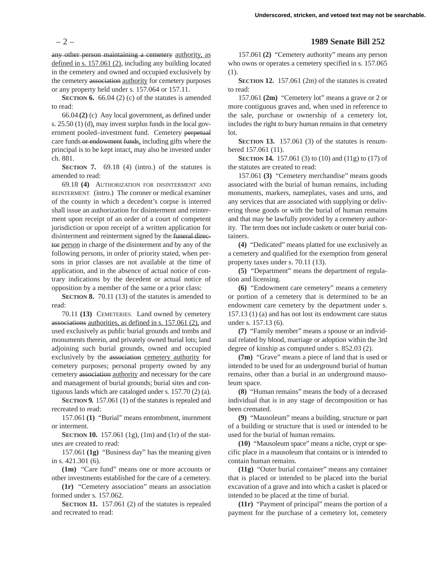any other person maintaining a cemetery authority, as defined in s. 157.061 (2), including any building located in the cemetery and owned and occupied exclusively by the cemetery association authority for cemetery purposes or any property held under s. 157.064 or 157.11.

**SECTION 6.** 66.04 (2) (c) of the statutes is amended to read:

66.04 **(2)** (c) Any local government, as defined under s. 25.50 (1) (d), may invest surplus funds in the local government pooled–investment fund. Cemetery perpetual care funds or endowment funds, including gifts where the principal is to be kept intact, may also be invested under ch. 881.

**SECTION 7.** 69.18 (4) (intro.) of the statutes is amended to read:

69.18 **(4)** AUTHORIZATION FOR DISINTERMENT AND REINTERMENT. (intro.) The coroner or medical examiner of the county in which a decedent's corpse is interred shall issue an authorization for disinterment and reinterment upon receipt of an order of a court of competent jurisdiction or upon receipt of a written application for disinterment and reinterment signed by the funeral director person in charge of the disinterment and by any of the following persons, in order of priority stated, when persons in prior classes are not available at the time of application, and in the absence of actual notice of contrary indications by the decedent or actual notice of opposition by a member of the same or a prior class:

**SECTION 8.** 70.11 (13) of the statutes is amended to read:

70.11 **(13)** CEMETERIES. Land owned by cemetery associations authorities, as defined in s. 157.061 (2), and used exclusively as public burial grounds and tombs and monuments therein, and privately owned burial lots; land adjoining such burial grounds, owned and occupied exclusively by the association cemetery authority for cemetery purposes; personal property owned by any cemetery association authority and necessary for the care and management of burial grounds; burial sites and contiguous lands which are cataloged under s. 157.70 (2) (a).

**SECTION 9.** 157.061 (1) of the statutes is repealed and recreated to read:

157.061 **(1)** "Burial" means entombment, inurnment or interment.

**SECTION 10.** 157.061 (1g), (1m) and (1r) of the statutes are created to read:

157.061 **(1g)** "Business day" has the meaning given in s. 421.301 (6).

**(1m)** "Care fund" means one or more accounts or other investments established for the care of a cemetery.

**(1r)** "Cemetery association" means an association formed under s. 157.062.

**SECTION 11.** 157.061 (2) of the statutes is repealed and recreated to read:

#### – 2 – **1989 Senate Bill 252**

157.061 **(2)** "Cemetery authority" means any person who owns or operates a cemetery specified in s. 157.065 (1).

**SECTION 12.** 157.061 (2m) of the statutes is created to read:

157.061 **(2m)** "Cemetery lot" means a grave or 2 or more contiguous graves and, when used in reference to the sale, purchase or ownership of a cemetery lot, includes the right to bury human remains in that cemetery lot.

**SECTION 13.** 157.061 (3) of the statutes is renumbered 157.061 (11).

**SECTION 14.** 157.061 (3) to (10) and (11g) to (17) of the statutes are created to read:

157.061 **(3)** "Cemetery merchandise" means goods associated with the burial of human remains, including monuments, markers, nameplates, vases and urns, and any services that are associated with supplying or delivering those goods or with the burial of human remains and that may be lawfully provided by a cemetery authority. The term does not include caskets or outer burial containers.

**(4)** "Dedicated" means platted for use exclusively as a cemetery and qualified for the exemption from general property taxes under s. 70.11 (13).

**(5)** "Department" means the department of regulation and licensing.

**(6)** "Endowment care cemetery" means a cemetery or portion of a cemetery that is determined to be an endowment care cemetery by the department under s. 157.13 (1) (a) and has not lost its endowment care status under s. 157.13 (6).

**(7)** "Family member" means a spouse or an individual related by blood, marriage or adoption within the 3rd degree of kinship as computed under s. 852.03 (2).

**(7m)** "Grave" means a piece of land that is used or intended to be used for an underground burial of human remains, other than a burial in an underground mausoleum space.

**(8)** "Human remains" means the body of a deceased individual that is in any stage of decomposition or has been cremated.

**(9)** "Mausoleum" means a building, structure or part of a building or structure that is used or intended to be used for the burial of human remains.

**(10)** "Mausoleum space" means a niche, crypt or specific place in a mausoleum that contains or is intended to contain human remains.

**(11g)** "Outer burial container" means any container that is placed or intended to be placed into the burial excavation of a grave and into which a casket is placed or intended to be placed at the time of burial.

**(11r)** "Payment of principal" means the portion of a payment for the purchase of a cemetery lot, cemetery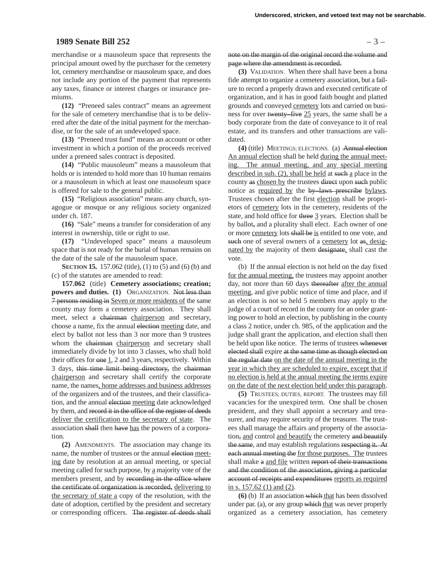#### **1989 Senate Bill 252** – 3 –

merchandise or a mausoleum space that represents the principal amount owed by the purchaser for the cemetery lot, cemetery merchandise or mausoleum space, and does not include any portion of the payment that represents any taxes, finance or interest charges or insurance premiums.

**(12)** "Preneed sales contract" means an agreement for the sale of cemetery merchandise that is to be delivered after the date of the initial payment for the merchandise, or for the sale of an undeveloped space.

**(13)** "Preneed trust fund" means an account or other investment in which a portion of the proceeds received under a preneed sales contract is deposited.

**(14)** "Public mausoleum" means a mausoleum that holds or is intended to hold more than 10 human remains or a mausoleum in which at least one mausoleum space is offered for sale to the general public.

**(15)** "Religious association" means any church, synagogue or mosque or any religious society organized under ch. 187.

**(16)** "Sale" means a transfer for consideration of any interest in ownership, title or right to use.

**(17)** "Undeveloped space" means a mausoleum space that is not ready for the burial of human remains on the date of the sale of the mausoleum space.

**SECTION 15.** 157.062 (title), (1) to (5) and (6) (b) and (c) of the statutes are amended to read:

**157.062** (title) **Cemetery associations; creation; powers and duties. (1)** ORGANIZATION. Not less than 7 persons residing in Seven or more residents of the same county may form a cemetery association. They shall meet, select a chairman chairperson and secretary, choose a name, fix the annual election meeting date, and elect by ballot not less than 3 nor more than 9 trustees whom the chairman chairperson and secretary shall immediately divide by lot into 3 classes, who shall hold their offices for  $\Theta$ ne  $\angle$ , 2 and 3 years, respectively. Within 3 days, this time limit being directory, the chairman chairperson and secretary shall certify the corporate name, the names, home addresses and business addresses of the organizers and of the trustees, and their classification, and the annual election meeting date acknowledged by them, and record it in the office of the register of deeds deliver the certification to the secretary of state. The association shall then have has the powers of a corporation.

**(2)** AMENDMENTS. The association may change its name, the number of trustees or the annual election meeting date by resolution at an annual meeting, or special meeting called for such purpose, by a majority vote of the members present, and by recording in the office where the certificate of organization is recorded, delivering to the secretary of state a copy of the resolution, with the date of adoption, certified by the president and secretary or corresponding officers. The register of deeds shall

note on the margin of the original record the volume and page where the amendment is recorded.

**(3)** VALIDATION. When there shall have been a bona fide attempt to organize a cemetery association, but a failure to record a properly drawn and executed certificate of organization, and it has in good faith bought and platted grounds and conveyed cemetery lots and carried on business for over twenty–five 25 years, the same shall be a body corporate from the date of conveyance to it of real estate, and its transfers and other transactions are validated.

**(4)** (title) MEETINGS; ELECTIONS. (a) Annual election An annual election shall be held during the annual meeting. The annual meeting, and any special meeting described in sub. (2), shall be held at such a place in the county as chosen by the trustees direct upon such public notice as required by the by–laws prescribe bylaws. Trustees chosen after the first election shall be proprietors of cemetery lots in the cemetery, residents of the state, and hold office for three 3 years. Election shall be by ballot, and a plurality shall elect. Each owner of one or more cemetery lots shall be is entitled to one vote, and such one of several owners of a cemetery lot as, designated by the majority of them designate, shall cast the vote.

(b) If the annual election is not held on the day fixed for the annual meeting, the trustees may appoint another day, not more than 60 days thereafter after the annual meeting, and give public notice of time and place, and if an election is not so held 5 members may apply to the judge of a court of record in the county for an order granting power to hold an election, by publishing in the county a class 2 notice, under ch. 985, of the application and the judge shall grant the application, and election shall then be held upon like notice. The terms of trustees whenever elected shall expire at the same time as though elected on the regular date on the date of the annual meeting in the year in which they are scheduled to expire, except that if no election is held at the annual meeting the terms expire on the date of the next election held under this paragraph.

**(5)** TRUSTEES; DUTIES, REPORT. The trustees may fill vacancies for the unexpired term. One shall be chosen president, and they shall appoint a secretary and treasurer, and may require security of the treasurer. The trustees shall manage the affairs and property of the association, and control and beautify the cemetery and beautify the same, and may establish regulations respecting it. At each annual meeting the for those purposes. The trustees shall make a and file written report of their transactions and the condition of the association, giving a particular account of receipts and expenditures reports as required in s. 157.62 (1) and (2).

**(6)** (b) If an association which that has been dissolved under par. (a), or any group which that was never properly organized as a cemetery association, has cemetery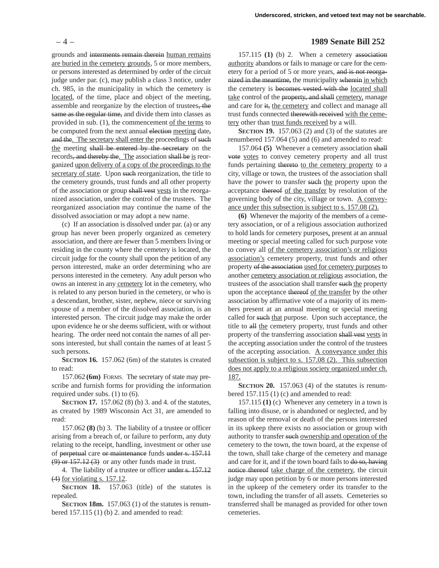grounds and interments remain therein human remains are buried in the cemetery grounds, 5 or more members, or persons interested as determined by order of the circuit judge under par. (c), may publish a class 3 notice, under ch. 985, in the municipality in which the cemetery is located, of the time, place and object of the meeting, assemble and reorganize by the election of trustees, the same as the regular time, and divide them into classes as provided in sub. (1), the commencement of the terms to be computed from the next annual election meeting date, and the. The secretary shall enter the proceedings of such the meeting shall be entered by the secretary on the records, and thereby the. The association shall be is reorganized upon delivery of a copy of the proceedings to the secretary of state. Upon such reorganization, the title to the cemetery grounds, trust funds and all other property of the association or group shall vest vests in the reorganized association, under the control of the trustees. The reorganized association may continue the name of the dissolved association or may adopt a new name.

(c) If an association is dissolved under par. (a) or any group has never been properly organized as cemetery association, and there are fewer than 5 members living or residing in the county where the cemetery is located, the circuit judge for the county shall upon the petition of any person interested, make an order determining who are persons interested in the cemetery. Any adult person who owns an interest in any cemetery lot in the cemetery, who is related to any person buried in the cemetery, or who is a descendant, brother, sister, nephew, niece or surviving spouse of a member of the dissolved association, is an interested person. The circuit judge may make the order upon evidence he or she deems sufficient, with or without hearing. The order need not contain the names of all persons interested, but shall contain the names of at least 5 such persons.

**SECTION 16.** 157.062 (6m) of the statutes is created to read:

157.062 **(6m)** FORMS. The secretary of state may prescribe and furnish forms for providing the information required under subs. (1) to (6).

**SECTION 17.** 157.062 (8) (b) 3. and 4. of the statutes, as created by 1989 Wisconsin Act 31, are amended to read:

157.062 **(8)** (b) 3. The liability of a trustee or officer arising from a breach of, or failure to perform, any duty relating to the receipt, handling, investment or other use of perpetual care or maintenance funds under s. 157.11  $(9)$  or  $157.12(3)$  or any other funds made in trust.

4. The liability of a trustee or officer under s. 157.12 (4) for violating s. 157.12.

**SECTION 18.** 157.063 (title) of the statutes is repealed.

**SECTION 18m.** 157.063 (1) of the statutes is renumbered 157.115 (1) (b) 2. and amended to read:

# – 4 – **1989 Senate Bill 252**

157.115 **(1)** (b) 2. When a cemetery association authority abandons or fails to manage or care for the cemetery for a period of 5 or more years, and is not reorganized in the meantime, the municipality wherein in which the cemetery is becomes vested with the located shall take control of the property, and shall cemetery, manage and care for it, the cemetery and collect and manage all trust funds connected therewith received with the cemetery other than trust funds received by a will.

**SECTION 19.** 157.063 (2) and (3) of the statutes are renumbered 157.064 (5) and (6) and amended to read:

157.064 **(5)** Whenever a cemetery association shall vote votes to convey cemetery property and all trust funds pertaining thereto to the cemetery property to a city, village or town, the trustees of the association shall have the power to transfer such the property upon the acceptance thereof of the transfer by resolution of the governing body of the city, village or town. A conveyance under this subsection is subject to s. 157.08 (2).

**(6)** Whenever the majority of the members of a cemetery association, or of a religious association authorized to hold lands for cemetery purposes, present at an annual meeting or special meeting called for such purpose vote to convey all of the cemetery association's or religious association's cemetery property, trust funds and other property of the association used for cemetery purposes to another cemetery association or religious association, the trustees of the association shall transfer such the property upon the acceptance thereof of the transfer by the other association by affirmative vote of a majority of its members present at an annual meeting or special meeting called for such that purpose. Upon such acceptance, the title to all the cemetery property, trust funds and other property of the transferring association shall vest vests in the accepting association under the control of the trustees of the accepting association. A conveyance under this subsection is subject to s. 157.08 (2). This subsection does not apply to a religious society organized under ch. 187.

**SECTION 20.** 157.063 (4) of the statutes is renumbered 157.115 (1) (c) and amended to read:

157.115 **(1)** (c) Whenever any cemetery in a town is falling into disuse, or is abandoned or neglected, and by reason of the removal or death of the persons interested in its upkeep there exists no association or group with authority to transfer such ownership and operation of the cemetery to the town, the town board, at the expense of the town, shall take charge of the cemetery and manage and care for it, and if the town board fails to do so, having notice thereof take charge of the cemetery, the circuit judge may upon petition by 6 or more persons interested in the upkeep of the cemetery order its transfer to the town, including the transfer of all assets. Cemeteries so transferred shall be managed as provided for other town cemeteries.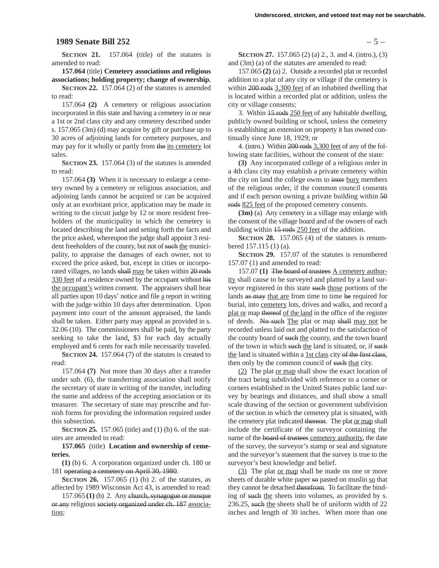#### **1989 Senate Bill 252** – 5 –

**SECTION 21.** 157.064 (title) of the statutes is amended to read:

**157.064** (title) **Cemetery associations and religious**

**associations; holding property; change of ownership. SECTION 22.** 157.064 (2) of the statutes is amended to read:

157.064 **(2)** A cemetery or religious association incorporated in this state and having a cemetery in or near a 1st or 2nd class city and any cemetery described under s. 157.065 (3m) (d) may acquire by gift or purchase up to 30 acres of adjoining lands for cemetery purposes, and may pay for it wholly or partly from the its cemetery lot sales.

**SECTION 23.** 157.064 (3) of the statutes is amended to read:

157.064 **(3)** When it is necessary to enlarge a cemetery owned by a cemetery or religious association, and adjoining lands cannot be acquired or can be acquired only at an exorbitant price, application may be made in writing to the circuit judge by 12 or more resident freeholders of the municipality in which the cemetery is located describing the land and setting forth the facts and the price asked, whereupon the judge shall appoint 3 resident freeholders of the county, but not of such the municipality, to appraise the damages of each owner, not to exceed the price asked, but, except in cities or incorporated villages, no lands shall may be taken within 20 rods 330 feet of a residence owned by the occupant without his the occupant's written consent. The appraisers shall hear all parties upon 10 days' notice and file a report in writing with the judge within 10 days after determination. Upon payment into court of the amount appraised, the lands shall be taken. Either party may appeal as provided in s. 32.06 (10). The commissioners shall be paid, by the party seeking to take the land, \$3 for each day actually employed and 6 cents for each mile necessarily traveled.

**SECTION 24.** 157.064 (7) of the statutes is created to read:

157.064 **(7)** Not more than 30 days after a transfer under sub. (6), the transferring association shall notify the secretary of state in writing of the transfer, including the name and address of the accepting association or its treasurer. The secretary of state may prescribe and furnish forms for providing the information required under this subsection.

**SECTION 25.** 157.065 (title) and (1) (b) 6. of the statutes are amended to read:

**157.065** (title) **Location and ownership of cemeteries.**

**(1)** (b) 6. A corporation organized under ch. 180 or 181 operating a cemetery on April 30, 1980.

**SECTION 26.** 157.065 (1) (b) 2. of the statutes, as affected by 1989 Wisconsin Act 43, is amended to read:

157.065 **(1)** (b) 2. Any church, synagogue or mosque or any religious society organized under ch. 187 association;

**SECTION 27.** 157.065 (2) (a) 2., 3. and 4. (intro.), (3) and (3m) (a) of the statutes are amended to read:

157.065 **(2)** (a) 2. Outside a recorded plat or recorded addition to a plat of any city or village if the cemetery is within 200 rods 3,300 feet of an inhabited dwelling that is located within a recorded plat or addition, unless the city or village consents;

3. Within 15 rods 250 feet of any habitable dwelling, publicly owned building or school, unless the cemetery is establishing an extension on property it has owned continually since June 18, 1929; or

4. (intro.) Within 200 rods 3,300 feet of any of the following state facilities, without the consent of the state:

**(3)** Any incorporated college of a religious order in a 4th class city may establish a private cemetery within the city on land the college owns to inter bury members of the religious order, if the common council consents and if each person owning a private building within 50 rods 825 feet of the proposed cemetery consents.

**(3m)** (a) Any cemetery in a village may enlarge with the consent of the village board and of the owners of each building within 15 rods 250 feet of the addition.

**SECTION 28.** 157.065 (4) of the statutes is renumbered 157.115 (1) (a).

**SECTION 29.** 157.07 of the statutes is renumbered 157.07 (1) and amended to read:

157.07 **(1)** The board of trustees A cemetery authority shall cause to be surveyed and platted by a land surveyor registered in this state such those portions of the lands as may that are from time to time be required for burial, into cemetery lots, drives and walks, and record a plat or map thereof of the land in the office of the register of deeds. No such The plat or map shall may not be recorded unless laid out and platted to the satisfaction of the county board of such the county, and the town board of the town in which such the land is situated, or, if such the land is situated within a 1st class city of the first class, then only by the common council of such that city.

(2) The plat or map shall show the exact location of the tract being subdivided with reference to a corner or corners established in the United States public land survey by bearings and distances, and shall show a small scale drawing of the section or government subdivision of the section in which the cemetery plat is situated, with the cemetery plat indicated thereon. The plat or map shall include the certificate of the surveyor containing the name of the board of trustees cemetery authority, the date of the survey, the surveyor's stamp or seal and signature and the surveyor's statement that the survey is true to the surveyor's best knowledge and belief.

(3) The plat or map shall be made on one or more sheets of durable white paper so pasted on muslin so that they cannot be detached therefrom. To facilitate the binding of such the sheets into volumes, as provided by s. 236.25, such the sheets shall be of uniform width of 22 inches and length of 30 inches. When more than one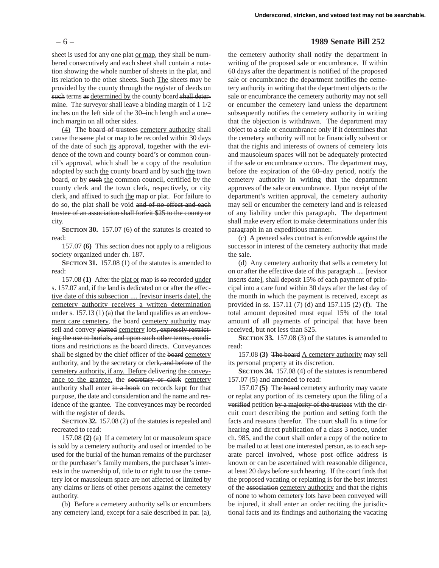sheet is used for any one plat or map, they shall be numbered consecutively and each sheet shall contain a notation showing the whole number of sheets in the plat, and its relation to the other sheets. Such The sheets may be provided by the county through the register of deeds on such terms as determined by the county board shall determine. The surveyor shall leave a binding margin of 1  $1/2$ inches on the left side of the 30–inch length and a one– inch margin on all other sides.

(4) The board of trustees cemetery authority shall cause the same plat or map to be recorded within 30 days of the date of such its approval, together with the evidence of the town and county board's or common council's approval, which shall be a copy of the resolution adopted by such the county board and by such the town board, or by such the common council, certified by the county clerk and the town clerk, respectively, or city clerk, and affixed to such the map or plat. For failure to do so, the plat shall be void and of no effect and each trustee of an association shall forfeit \$25 to the county or city.

**SECTION 30.** 157.07 (6) of the statutes is created to read:

157.07 **(6)** This section does not apply to a religious society organized under ch. 187.

**SECTION 31.** 157.08 (1) of the statutes is amended to read:

157.08 **(1)** After the plat or map is so recorded under s. 157.07 and, if the land is dedicated on or after the effective date of this subsection .... [revisor inserts date], the cemetery authority receives a written determination under s. 157.13 (1) (a) that the land qualifies as an endowment care cemetery, the board cemetery authority may sell and convey platted cemetery lots, expressly restricting the use to burials, and upon such other terms, conditions and restrictions as the board directs. Conveyances shall be signed by the chief officer of the board cemetery authority, and by the secretary or clerk, and before of the cemetery authority, if any. Before delivering the conveyance to the grantee, the secretary or clerk cemetery authority shall enter in a book on records kept for that purpose, the date and consideration and the name and residence of the grantee. The conveyances may be recorded with the register of deeds.

**SECTION 32.** 157.08 (2) of the statutes is repealed and recreated to read:

157.08 **(2)** (a) If a cemetery lot or mausoleum space is sold by a cemetery authority and used or intended to be used for the burial of the human remains of the purchaser or the purchaser's family members, the purchaser's interests in the ownership of, title to or right to use the cemetery lot or mausoleum space are not affected or limited by any claims or liens of other persons against the cemetery authority.

(b) Before a cemetery authority sells or encumbers any cemetery land, except for a sale described in par. (a),

#### – 6 – **1989 Senate Bill 252**

the cemetery authority shall notify the department in writing of the proposed sale or encumbrance. If within 60 days after the department is notified of the proposed sale or encumbrance the department notifies the cemetery authority in writing that the department objects to the sale or encumbrance the cemetery authority may not sell or encumber the cemetery land unless the department subsequently notifies the cemetery authority in writing that the objection is withdrawn. The department may object to a sale or encumbrance only if it determines that the cemetery authority will not be financially solvent or that the rights and interests of owners of cemetery lots and mausoleum spaces will not be adequately protected if the sale or encumbrance occurs. The department may, before the expiration of the 60–day period, notify the cemetery authority in writing that the department approves of the sale or encumbrance. Upon receipt of the department's written approval, the cemetery authority may sell or encumber the cemetery land and is released of any liability under this paragraph. The department shall make every effort to make determinations under this paragraph in an expeditious manner.

(c) A preneed sales contract is enforceable against the successor in interest of the cemetery authority that made the sale.

(d) Any cemetery authority that sells a cemetery lot on or after the effective date of this paragraph .... [revisor inserts date], shall deposit 15% of each payment of principal into a care fund within 30 days after the last day of the month in which the payment is received, except as provided in ss. 157.11 (7) (d) and 157.115 (2) (f). The total amount deposited must equal 15% of the total amount of all payments of principal that have been received, but not less than \$25.

**SECTION 33.** 157.08 (3) of the statutes is amended to read:

157.08 **(3)** The board A cemetery authority may sell its personal property at its discretion.

**SECTION 34.** 157.08 (4) of the statutes is renumbered 157.07 (5) and amended to read:

157.07 **(5)** The board cemetery authority may vacate or replat any portion of its cemetery upon the filing of a verified petition by a majority of the trustees with the circuit court describing the portion and setting forth the facts and reasons therefor. The court shall fix a time for hearing and direct publication of a class 3 notice, under ch. 985, and the court shall order a copy of the notice to be mailed to at least one interested person, as to each separate parcel involved, whose post–office address is known or can be ascertained with reasonable diligence, at least 20 days before such hearing. If the court finds that the proposed vacating or replatting is for the best interest of the association cemetery authority and that the rights of none to whom cemetery lots have been conveyed will be injured, it shall enter an order reciting the jurisdictional facts and its findings and authorizing the vacating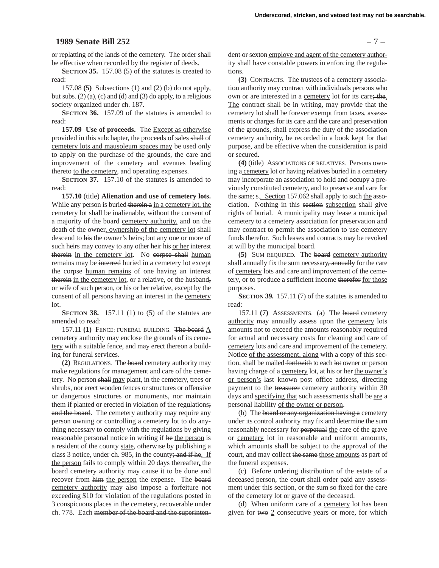#### **1989 Senate Bill 252** – 7 –

or replatting of the lands of the cemetery. The order shall be effective when recorded by the register of deeds.

**SECTION 35.** 157.08 (5) of the statutes is created to read:

157.08 **(5)** Subsections (1) and (2) (b) do not apply, but subs.  $(2)$  (a), (c) and (d) and (3) do apply, to a religious society organized under ch. 187.

**SECTION 36.** 157.09 of the statutes is amended to read:

**157.09 Use of proceeds.** The Except as otherwise provided in this subchapter, the proceeds of sales shall of cemetery lots and mausoleum spaces may be used only to apply on the purchase of the grounds, the care and improvement of the cemetery and avenues leading thereto to the cemetery, and operating expenses.

**SECTION 37.** 157.10 of the statutes is amended to read:

**157.10** (title) **Alienation and use of cemetery lots.** While any person is buried therein a in a cemetery lot, the cemetery lot shall be inalienable, without the consent of a majority of the board cemetery authority, and on the death of the owner, ownership of the cemetery lot shall descend to his the owner's heirs; but any one or more of such heirs may convey to any other heir his or her interest therein in the cemetery lot. No corpse shall human remains may be interred buried in a cemetery lot except the corpse human remains of one having an interest therein in the cemetery lot, or a relative, or the husband, or wife of such person, or his or her relative, except by the consent of all persons having an interest in the cemetery lot.

**SECTION 38.** 157.11 (1) to (5) of the statutes are amended to read:

157.11 **(1)** FENCE; FUNERAL BUILDING. The board A cemetery authority may enclose the grounds of its cemetery with a suitable fence, and may erect thereon a building for funeral services.

**(2)** REGULATIONS. The board cemetery authority may make regulations for management and care of the cemetery. No person shall may plant, in the cemetery, trees or shrubs, nor erect wooden fences or structures or offensive or dangerous structures or monuments, nor maintain them if planted or erected in violation of the regulations; and the board. The cemetery authority may require any person owning or controlling a cemetery lot to do anything necessary to comply with the regulations by giving reasonable personal notice in writing if he the person is a resident of the county state, otherwise by publishing a class 3 notice, under ch. 985, in the county; and if he. If the person fails to comply within 20 days thereafter, the board cemetery authority may cause it to be done and recover from him the person the expense. The board cemetery authority may also impose a forfeiture not exceeding \$10 for violation of the regulations posted in 3 conspicuous places in the cemetery, recoverable under ch. 778. Each member of the board and the superinten-

dent or sexton employe and agent of the cemetery authority shall have constable powers in enforcing the regulations.

**(3)** CONTRACTS. The trustees of a cemetery association authority may contract with individuals persons who own or are interested in a cemetery lot for its care; the. The contract shall be in writing, may provide that the cemetery lot shall be forever exempt from taxes, assessments or charges for its care and the care and preservation of the grounds, shall express the duty of the association cemetery authority, be recorded in a book kept for that purpose, and be effective when the consideration is paid or secured.

**(4)** (title) ASSOCIATIONS OF RELATIVES. Persons owning a cemetery lot or having relatives buried in a cemetery may incorporate an association to hold and occupy a previously constituted cemetery, and to preserve and care for the same; s... Section 157.062 shall apply to such the association. Nothing in this section subsection shall give rights of burial. A municipality may lease a municipal cemetery to a cemetery association for preservation and may contract to permit the association to use cemetery funds therefor. Such leases and contracts may be revoked at will by the municipal board.

**(5)** SUM REQUIRED. The board cemetery authority shall annually fix the sum necessary, annually for the care of cemetery lots and care and improvement of the cemetery, or to produce a sufficient income therefor for those purposes.

**SECTION 39.** 157.11 (7) of the statutes is amended to read:

157.11 **(7)** ASSESSMENTS. (a) The board cemetery authority may annually assess upon the cemetery lots amounts not to exceed the amounts reasonably required for actual and necessary costs for cleaning and care of cemetery lots and care and improvement of the cemetery. Notice of the assessment, along with a copy of this section, shall be mailed forthwith to each lot owner or person having charge of a cemetery lot, at his or her the owner's or person's last–known post–office address, directing payment to the treasurer cemetery authority within 30 days and specifying that such assessments shall be are a personal liability of the owner or person.

(b) The board or any organization having a cemetery under its control authority may fix and determine the sum reasonably necessary for perpetual the care of the grave or cemetery lot in reasonable and uniform amounts, which amounts shall be subject to the approval of the court, and may collect the same those amounts as part of the funeral expenses.

(c) Before ordering distribution of the estate of a deceased person, the court shall order paid any assessment under this section, or the sum so fixed for the care of the cemetery lot or grave of the deceased.

(d) When uniform care of a cemetery lot has been given for two 2 consecutive years or more, for which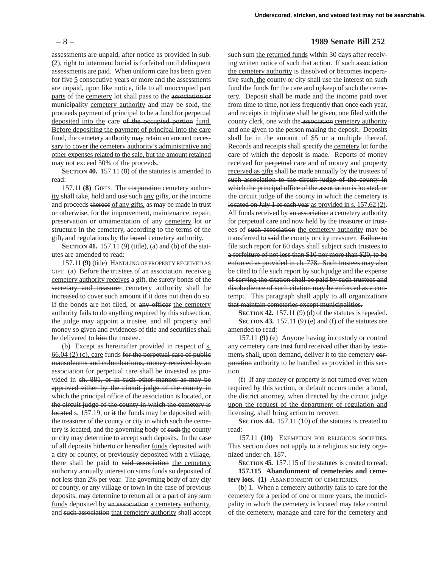assessments are unpaid, after notice as provided in sub. (2), right to interment burial is forfeited until delinquent assessments are paid. When uniform care has been given for five 5 consecutive years or more and the assessments are unpaid, upon like notice, title to all unoccupied part parts of the cemetery lot shall pass to the association or municipality cemetery authority and may be sold, the proceeds payment of principal to be a fund for perpetual deposited into the care of the occupied portion fund. Before depositing the payment of principal into the care fund, the cemetery authority may retain an amount necessary to cover the cemetery authority's administrative and other expenses related to the sale, but the amount retained may not exceed 50% of the proceeds.

**SECTION 40.** 157.11 (8) of the statutes is amended to read:

157.11 **(8)** GIFTS. The corporation cemetery authority shall take, hold and use such any gifts, or the income and proceeds thereof of any gifts, as may be made in trust or otherwise, for the improvement, maintenance, repair, preservation or ornamentation of any cemetery lot or structure in the cemetery, according to the terms of the gift, and regulations by the board cemetery authority.

**SECTION 41.** 157.11 (9) (title), (a) and (b) of the statutes are amended to read:

157.11 **(9)** (title) HANDLING OF PROPERTY RECEIVED AS GIFT. (a) Before the trustees of an association receive a cemetery authority receives a gift, the surety bonds of the secretary and treasurer cemetery authority shall be increased to cover such amount if it does not then do so. If the bonds are not filed, or any officer the cemetery authority fails to do anything required by this subsection, the judge may appoint a trustee, and all property and money so given and evidences of title and securities shall be delivered to him the trustee.

(b) Except as hereinafter provided in respect of s. 66.04 (2) (c), care funds for the perpetual care of public mausoleums and columbariums, money received by an association for perpetual care shall be invested as provided in ch. 881, or in such other manner as may be approved either by the circuit judge of the county in which the principal office of the association is located, or the circuit judge of the county in which the cemetery is located s. 157.19, or it the funds may be deposited with the treasurer of the county or city in which such the cemetery is located, and the governing body of such the county or city may determine to accept such deposits. In the case of all deposits hitherto or hereafter funds deposited with a city or county, or previously deposited with a village, there shall be paid to said association the cemetery authority annually interest on sums funds so deposited of not less than 2% per year. The governing body of any city or county, or any village or town in the case of previous deposits, may determine to return all or a part of any sum funds deposited by an association a cemetery authority, and such association that cemetery authority shall accept

#### – 8 – **1989 Senate Bill 252**

such sum the returned funds within 30 days after receiving written notice of such that action. If such association the cemetery authority is dissolved or becomes inoperative such, the county or city shall use the interest on such fund the funds for the care and upkeep of such the cemetery. Deposit shall be made and the income paid over from time to time, not less frequently than once each year, and receipts in triplicate shall be given, one filed with the county clerk, one with the association cemetery authority and one given to the person making the deposit. Deposits shall be in the amount of  $$5$  or a multiple thereof. Records and receipts shall specify the cemetery lot for the care of which the deposit is made. Reports of money received for perpetual care and of money and property received as gifts shall be made annually by the trustees of such association to the circuit judge of the county in which the principal office of the association is located, or the circuit judge of the county in which the cemetery is located on July 1 of each year as provided in s. 157.62 (2). All funds received by an association a cemetery authority for perpetual care and now held by the treasurer or trustees of such association the cemetery authority may be transferred to said the county or city treasurer. Failure to file such report for 60 days shall subject such trustees to a forfeiture of not less than \$10 nor more than \$20, to be enforced as provided in ch. 778. Such trustees may also be cited to file such report by such judge and the expense of serving the citation shall be paid by such trustees and disobedience of such citation may be enforced as a contempt. This paragraph shall apply to all organizations that maintain cemeteries except municipalities.

**SECTION 42.** 157.11 (9) (d) of the statutes is repealed. **SECTION 43.** 157.11 (9) (e) and (f) of the statutes are amended to read:

157.11 **(9)** (e) Anyone having in custody or control any cemetery care trust fund received other than by testament, shall, upon demand, deliver it to the cemetery corporation authority to be handled as provided in this section.

(f) If any money or property is not turned over when required by this section, or default occurs under a bond, the district attorney, when directed by the circuit judge upon the request of the department of regulation and licensing, shall bring action to recover.

**SECTION 44.** 157.11 (10) of the statutes is created to read:

157.11 **(10)** EXEMPTION FOR RELIGIOUS SOCIETIES. This section does not apply to a religious society organized under ch. 187.

**SECTION 45.** 157.115 of the statutes is created to read: **157.115 Abandonment of cemeteries and cemetery lots. (1)** ABANDONMENT OF CEMETERIES.

(b) 1. When a cemetery authority fails to care for the cemetery for a period of one or more years, the municipality in which the cemetery is located may take control of the cemetery, manage and care for the cemetery and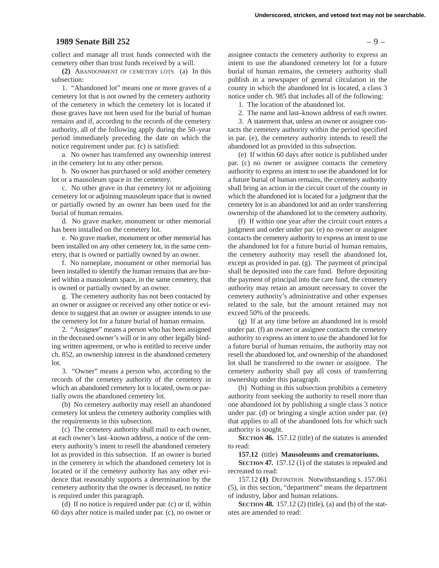#### **1989 Senate Bill 252** – 9 –

collect and manage all trust funds connected with the cemetery other than trust funds received by a will.

**(2)** ABANDONMENT OF CEMETERY LOTS. (a) In this subsection:

1. "Abandoned lot" means one or more graves of a cemetery lot that is not owned by the cemetery authority of the cemetery in which the cemetery lot is located if those graves have not been used for the burial of human remains and if, according to the records of the cemetery authority, all of the following apply during the 50–year period immediately preceding the date on which the notice requirement under par. (c) is satisfied:

a. No owner has transferred any ownership interest in the cemetery lot to any other person.

b. No owner has purchased or sold another cemetery lot or a mausoleum space in the cemetery.

c. No other grave in that cemetery lot or adjoining cemetery lot or adjoining mausoleum space that is owned or partially owned by an owner has been used for the burial of human remains.

d. No grave marker, monument or other memorial has been installed on the cemetery lot.

e. No grave marker, monument or other memorial has been installed on any other cemetery lot, in the same cemetery, that is owned or partially owned by an owner.

f. No nameplate, monument or other memorial has been installed to identify the human remains that are buried within a mausoleum space, in the same cemetery, that is owned or partially owned by an owner.

g. The cemetery authority has not been contacted by an owner or assignee or received any other notice or evidence to suggest that an owner or assignee intends to use the cemetery lot for a future burial of human remains.

2. "Assignee" means a person who has been assigned in the deceased owner's will or in any other legally binding written agreement, or who is entitled to receive under ch. 852, an ownership interest in the abandoned cemetery lot.

3. "Owner" means a person who, according to the records of the cemetery authority of the cemetery in which an abandoned cemetery lot is located, owns or partially owns the abandoned cemetery lot.

(b) No cemetery authority may resell an abandoned cemetery lot unless the cemetery authority complies with the requirements in this subsection.

(c) The cemetery authority shall mail to each owner, at each owner's last–known address, a notice of the cemetery authority's intent to resell the abandoned cemetery lot as provided in this subsection. If an owner is buried in the cemetery in which the abandoned cemetery lot is located or if the cemetery authority has any other evidence that reasonably supports a determination by the cemetery authority that the owner is deceased, no notice is required under this paragraph.

(d) If no notice is required under par. (c) or if, within 60 days after notice is mailed under par. (c), no owner or

assignee contacts the cemetery authority to express an intent to use the abandoned cemetery lot for a future burial of human remains, the cemetery authority shall publish in a newspaper of general circulation in the county in which the abandoned lot is located, a class 3 notice under ch. 985 that includes all of the following:

1. The location of the abandoned lot.

2. The name and last–known address of each owner.

3. A statement that, unless an owner or assignee contacts the cemetery authority within the period specified in par. (e), the cemetery authority intends to resell the abandoned lot as provided in this subsection.

(e) If within 60 days after notice is published under par. (c) no owner or assignee contacts the cemetery authority to express an intent to use the abandoned lot for a future burial of human remains, the cemetery authority shall bring an action in the circuit court of the county in which the abandoned lot is located for a judgment that the cemetery lot is an abandoned lot and an order transferring ownership of the abandoned lot to the cemetery authority.

(f) If within one year after the circuit court enters a judgment and order under par. (e) no owner or assignee contacts the cemetery authority to express an intent to use the abandoned lot for a future burial of human remains, the cemetery authority may resell the abandoned lot, except as provided in par. (g). The payment of principal shall be deposited into the care fund. Before depositing the payment of principal into the care fund, the cemetery authority may retain an amount necessary to cover the cemetery authority's administrative and other expenses related to the sale, but the amount retained may not exceed 50% of the proceeds.

(g) If at any time before an abandoned lot is resold under par. (f) an owner or assignee contacts the cemetery authority to express an intent to use the abandoned lot for a future burial of human remains, the authority may not resell the abandoned lot, and ownership of the abandoned lot shall be transferred to the owner or assignee. The cemetery authority shall pay all costs of transferring ownership under this paragraph.

(h) Nothing in this subsection prohibits a cemetery authority from seeking the authority to resell more than one abandoned lot by publishing a single class 3 notice under par. (d) or bringing a single action under par. (e) that applies to all of the abandoned lots for which such authority is sought.

**SECTION 46.** 157.12 (title) of the statutes is amended to read:

**157.12** (title) **Mausoleums and crematoriums.**

**SECTION 47.** 157.12 (1) of the statutes is repealed and recreated to read:

157.12 **(1)** DEFINITION. Notwithstanding s. 157.061 (5), in this section, "department" means the department of industry, labor and human relations.

**SECTION 48.** 157.12 (2) (title), (a) and (b) of the statutes are amended to read: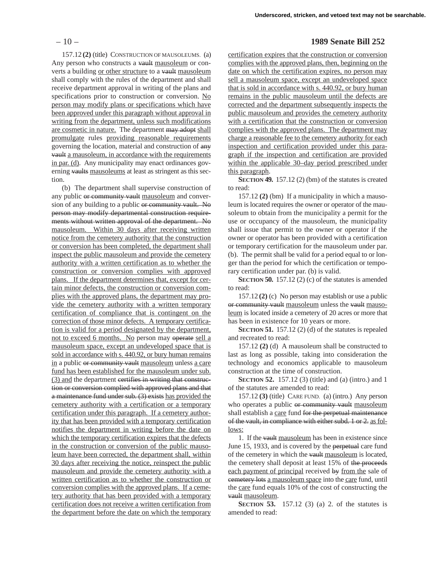157.12 **(2)** (title) CONSTRUCTION OF MAUSOLEUMS. (a) Any person who constructs a vault mausoleum or converts a building or other structure to a vault mausoleum shall comply with the rules of the department and shall receive department approval in writing of the plans and specifications prior to construction or conversion. No person may modify plans or specifications which have been approved under this paragraph without approval in writing from the department, unless such modifications are cosmetic in nature. The department may adopt shall promulgate rules providing reasonable requirements governing the location, material and construction of any vault a mausoleum, in accordance with the requirements in par. (d). Any municipality may enact ordinances governing vaults mausoleums at least as stringent as this section.

(b) The department shall supervise construction of any public or community vault mausoleum and conversion of any building to a public or community vault. No person may modify departmental construction requirements without written approval of the department. No mausoleum. Within 30 days after receiving written notice from the cemetery authority that the construction or conversion has been completed, the department shall inspect the public mausoleum and provide the cemetery authority with a written certification as to whether the construction or conversion complies with approved plans. If the department determines that, except for certain minor defects, the construction or conversion complies with the approved plans, the department may provide the cemetery authority with a written temporary certification of compliance that is contingent on the correction of those minor defects. A temporary certification is valid for a period designated by the department, not to exceed 6 months. No person may operate sell a mausoleum space, except an undeveloped space that is sold in accordance with s. 440.92, or bury human remains in a public or community vault mausoleum unless a care fund has been established for the mausoleum under sub. (3) and the department certifies in writing that construction or conversion complied with approved plans and that a maintenance fund under sub. (3) exists has provided the cemetery authority with a certification or a temporary certification under this paragraph. If a cemetery authority that has been provided with a temporary certification notifies the department in writing before the date on which the temporary certification expires that the defects in the construction or conversion of the public mausoleum have been corrected, the department shall, within 30 days after receiving the notice, reinspect the public mausoleum and provide the cemetery authority with a written certification as to whether the construction or conversion complies with the approved plans. If a cemetery authority that has been provided with a temporary certification does not receive a written certification from the department before the date on which the temporary

#### – 10 – **1989 Senate Bill 252**

certification expires that the construction or conversion complies with the approved plans, then, beginning on the date on which the certification expires, no person may sell a mausoleum space, except an undeveloped space that is sold in accordance with s. 440.92, or bury human remains in the public mausoleum until the defects are corrected and the department subsequently inspects the public mausoleum and provides the cemetery authority with a certification that the construction or conversion complies with the approved plans. The department may charge a reasonable fee to the cemetery authority for each inspection and certification provided under this paragraph if the inspection and certification are provided within the applicable 30–day period prescribed under this paragraph.

**SECTION 49.** 157.12 (2) (bm) of the statutes is created to read:

157.12 **(2)** (bm) If a municipality in which a mausoleum is located requires the owner or operator of the mausoleum to obtain from the municipality a permit for the use or occupancy of the mausoleum, the municipality shall issue that permit to the owner or operator if the owner or operator has been provided with a certification or temporary certification for the mausoleum under par. (b). The permit shall be valid for a period equal to or longer than the period for which the certification or temporary certification under par. (b) is valid.

**SECTION 50.** 157.12 (2) (c) of the statutes is amended to read:

157.12 **(2)** (c) No person may establish or use a public or community vault mausoleum unless the vault mausoleum is located inside a cemetery of 20 acres or more that has been in existence for 10 years or more.

**SECTION 51.** 157.12 (2) (d) of the statutes is repealed and recreated to read:

157.12 **(2)** (d) A mausoleum shall be constructed to last as long as possible, taking into consideration the technology and economics applicable to mausoleum construction at the time of construction.

**SECTION 52.** 157.12 (3) (title) and (a) (intro.) and 1 of the statutes are amended to read:

157.12 **(3)** (title) CARE FUND. (a) (intro.) Any person who operates a public or community vault mausoleum shall establish a care fund for the perpetual maintenance of the vault, in compliance with either subd. 1 or 2. as follows:

1. If the vault mausoleum has been in existence since June 15, 1933, and is covered by the perpetual care fund of the cemetery in which the vault mausoleum is located, the cemetery shall deposit at least 15% of the proceeds each payment of principal received by from the sale of cemetery lots a mausoleum space into the care fund, until the care fund equals 10% of the cost of constructing the vault mausoleum.

**SECTION 53.** 157.12 (3) (a) 2. of the statutes is amended to read: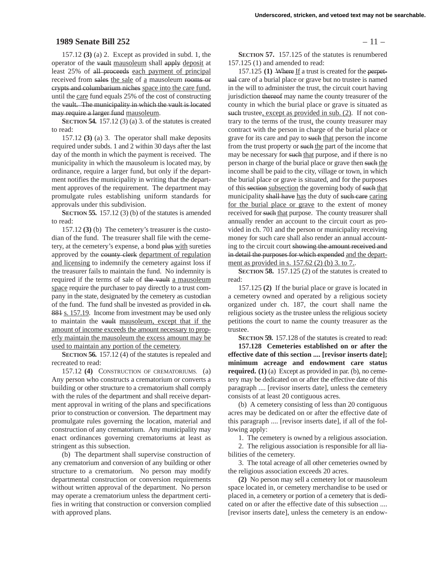#### **1989 Senate Bill 252** – 11 –

157.12 **(3)** (a) 2. Except as provided in subd. 1, the operator of the vault mausoleum shall apply deposit at least 25% of all proceeds each payment of principal received from sales the sale of a mausoleum rooms or crypts and columbarium niches space into the care fund, until the care fund equals 25% of the cost of constructing the vault. The municipality in which the vault is located may require a larger fund mausoleum.

**SECTION 54.** 157.12 (3) (a) 3. of the statutes is created to read:

157.12 **(3)** (a) 3. The operator shall make deposits required under subds. 1 and 2 within 30 days after the last day of the month in which the payment is received. The municipality in which the mausoleum is located may, by ordinance, require a larger fund, but only if the department notifies the municipality in writing that the department approves of the requirement. The department may promulgate rules establishing uniform standards for approvals under this subdivision.

**SECTION 55.** 157.12 (3) (b) of the statutes is amended to read:

157.12 **(3)** (b) The cemetery's treasurer is the custodian of the fund. The treasurer shall file with the cemetery, at the cemetery's expense, a bond plus with sureties approved by the county clerk department of regulation and licensing to indemnify the cemetery against loss if the treasurer fails to maintain the fund. No indemnity is required if the terms of sale of the vault a mausoleum space require the purchaser to pay directly to a trust company in the state, designated by the cemetery as custodian of the fund. The fund shall be invested as provided in ch. 881 s. 157.19. Income from investment may be used only to maintain the vault mausoleum, except that if the amount of income exceeds the amount necessary to properly maintain the mausoleum the excess amount may be used to maintain any portion of the cemetery.

**SECTION 56.** 157.12 (4) of the statutes is repealed and recreated to read:

157.12 **(4)** CONSTRUCTION OF CREMATORIUMS. (a) Any person who constructs a crematorium or converts a building or other structure to a crematorium shall comply with the rules of the department and shall receive department approval in writing of the plans and specifications prior to construction or conversion. The department may promulgate rules governing the location, material and construction of any crematorium. Any municipality may enact ordinances governing crematoriums at least as stringent as this subsection.

(b) The department shall supervise construction of any crematorium and conversion of any building or other structure to a crematorium. No person may modify departmental construction or conversion requirements without written approval of the department. No person may operate a crematorium unless the department certifies in writing that construction or conversion complied with approved plans.

**SECTION 57.** 157.125 of the statutes is renumbered 157.125 (1) and amended to read:

157.125 **(1)** Where If a trust is created for the perpetual care of a burial place or grave but no trustee is named in the will to administer the trust, the circuit court having jurisdiction thereof may name the county treasurer of the county in which the burial place or grave is situated as such trustee, except as provided in sub. (2). If not contrary to the terms of the trust, the county treasurer may contract with the person in charge of the burial place or grave for its care and pay to such that person the income from the trust property or such the part of the income that may be necessary for such that purpose, and if there is no person in charge of the burial place or grave then such the income shall be paid to the city, village or town, in which the burial place or grave is situated, and for the purposes of this section subsection the governing body of such that municipality shall have has the duty of such care caring for the burial place or grave to the extent of money received for such that purpose. The county treasurer shall annually render an account to the circuit court as provided in ch. 701 and the person or municipality receiving money for such care shall also render an annual accounting to the circuit court showing the amount received and in detail the purposes for which expended and the department as provided in s. 157.62 (2) (b) 3. to 7..

**SECTION 58.** 157.125 (2) of the statutes is created to read:

157.125 **(2)** If the burial place or grave is located in a cemetery owned and operated by a religious society organized under ch. 187, the court shall name the religious society as the trustee unless the religious society petitions the court to name the county treasurer as the trustee.

**SECTION 59.** 157.128 of the statutes is created to read:

**157.128 Cemeteries established on or after the effective date of this section .... [revisor inserts date]; minimum acreage and endowment care status required. (1)** (a) Except as provided in par. (b), no cemetery may be dedicated on or after the effective date of this paragraph .... [revisor inserts date], unless the cemetery consists of at least 20 contiguous acres.

(b) A cemetery consisting of less than 20 contiguous acres may be dedicated on or after the effective date of this paragraph .... [revisor inserts date], if all of the following apply:

1. The cemetery is owned by a religious association.

2. The religious association is responsible for all liabilities of the cemetery.

3. The total acreage of all other cemeteries owned by the religious association exceeds 20 acres.

**(2)** No person may sell a cemetery lot or mausoleum space located in, or cemetery merchandise to be used or placed in, a cemetery or portion of a cemetery that is dedicated on or after the effective date of this subsection .... [revisor inserts date], unless the cemetery is an endow-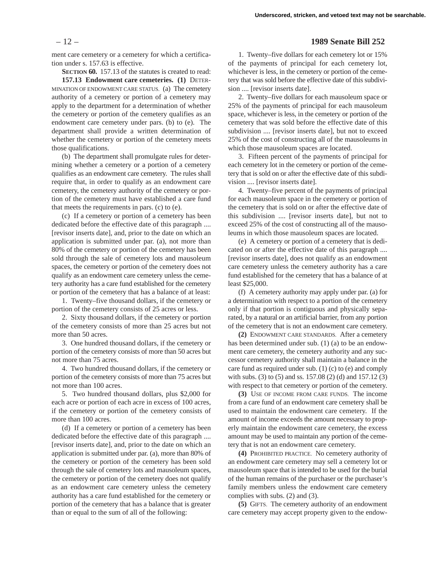ment care cemetery or a cemetery for which a certification under s. 157.63 is effective.

**SECTION 60.** 157.13 of the statutes is created to read:

**157.13 Endowment care cemeteries. (1)** DETER-MINATION OF ENDOWMENT CARE STATUS. (a) The cemetery authority of a cemetery or portion of a cemetery may apply to the department for a determination of whether the cemetery or portion of the cemetery qualifies as an endowment care cemetery under pars. (b) to (e). The department shall provide a written determination of whether the cemetery or portion of the cemetery meets those qualifications.

(b) The department shall promulgate rules for determining whether a cemetery or a portion of a cemetery qualifies as an endowment care cemetery. The rules shall require that, in order to qualify as an endowment care cemetery, the cemetery authority of the cemetery or portion of the cemetery must have established a care fund that meets the requirements in pars. (c) to (e).

(c) If a cemetery or portion of a cemetery has been dedicated before the effective date of this paragraph .... [revisor inserts date], and, prior to the date on which an application is submitted under par. (a), not more than 80% of the cemetery or portion of the cemetery has been sold through the sale of cemetery lots and mausoleum spaces, the cemetery or portion of the cemetery does not qualify as an endowment care cemetery unless the cemetery authority has a care fund established for the cemetery or portion of the cemetery that has a balance of at least:

1. Twenty–five thousand dollars, if the cemetery or portion of the cemetery consists of 25 acres or less.

2. Sixty thousand dollars, if the cemetery or portion of the cemetery consists of more than 25 acres but not more than 50 acres.

3. One hundred thousand dollars, if the cemetery or portion of the cemetery consists of more than 50 acres but not more than 75 acres.

4. Two hundred thousand dollars, if the cemetery or portion of the cemetery consists of more than 75 acres but not more than 100 acres.

5. Two hundred thousand dollars, plus \$2,000 for each acre or portion of each acre in excess of 100 acres, if the cemetery or portion of the cemetery consists of more than 100 acres.

(d) If a cemetery or portion of a cemetery has been dedicated before the effective date of this paragraph .... [revisor inserts date], and, prior to the date on which an application is submitted under par. (a), more than 80% of the cemetery or portion of the cemetery has been sold through the sale of cemetery lots and mausoleum spaces, the cemetery or portion of the cemetery does not qualify as an endowment care cemetery unless the cemetery authority has a care fund established for the cemetery or portion of the cemetery that has a balance that is greater than or equal to the sum of all of the following:

#### – 12 – **1989 Senate Bill 252**

1. Twenty–five dollars for each cemetery lot or 15% of the payments of principal for each cemetery lot, whichever is less, in the cemetery or portion of the cemetery that was sold before the effective date of this subdivision .... [revisor inserts date].

2. Twenty–five dollars for each mausoleum space or 25% of the payments of principal for each mausoleum space, whichever is less, in the cemetery or portion of the cemetery that was sold before the effective date of this subdivision .... [revisor inserts date], but not to exceed 25% of the cost of constructing all of the mausoleums in which those mausoleum spaces are located.

3. Fifteen percent of the payments of principal for each cemetery lot in the cemetery or portion of the cemetery that is sold on or after the effective date of this subdivision .... [revisor inserts date].

4. Twenty–five percent of the payments of principal for each mausoleum space in the cemetery or portion of the cemetery that is sold on or after the effective date of this subdivision .... [revisor inserts date], but not to exceed 25% of the cost of constructing all of the mausoleums in which those mausoleum spaces are located.

(e) A cemetery or portion of a cemetery that is dedicated on or after the effective date of this paragraph .... [revisor inserts date], does not qualify as an endowment care cemetery unless the cemetery authority has a care fund established for the cemetery that has a balance of at least \$25,000.

(f) A cemetery authority may apply under par. (a) for a determination with respect to a portion of the cemetery only if that portion is contiguous and physically separated, by a natural or an artificial barrier, from any portion of the cemetery that is not an endowment care cemetery.

**(2)** ENDOWMENT CARE STANDARDS. After a cemetery has been determined under sub. (1) (a) to be an endowment care cemetery, the cemetery authority and any successor cemetery authority shall maintain a balance in the care fund as required under sub. (1) (c) to (e) and comply with subs. (3) to (5) and ss. 157.08 (2) (d) and 157.12 (3) with respect to that cemetery or portion of the cemetery.

**(3)** USE OF INCOME FROM CARE FUNDS. The income from a care fund of an endowment care cemetery shall be used to maintain the endowment care cemetery. If the amount of income exceeds the amount necessary to properly maintain the endowment care cemetery, the excess amount may be used to maintain any portion of the cemetery that is not an endowment care cemetery.

**(4)** PROHIBITED PRACTICE. No cemetery authority of an endowment care cemetery may sell a cemetery lot or mausoleum space that is intended to be used for the burial of the human remains of the purchaser or the purchaser's family members unless the endowment care cemetery complies with subs. (2) and (3).

**(5)** GIFTS. The cemetery authority of an endowment care cemetery may accept property given to the endow-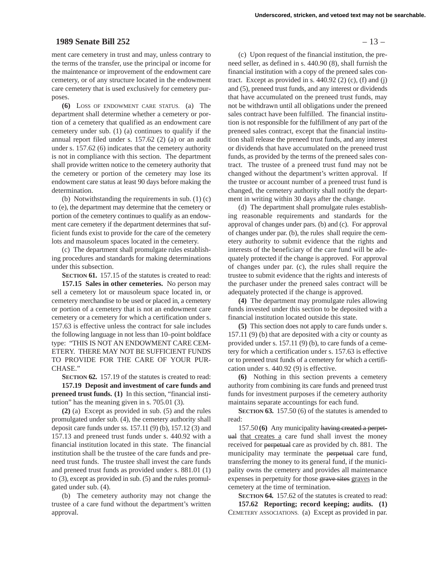#### **1989 Senate Bill 252** – 13 –

ment care cemetery in trust and may, unless contrary to the terms of the transfer, use the principal or income for the maintenance or improvement of the endowment care cemetery, or of any structure located in the endowment care cemetery that is used exclusively for cemetery purposes.

**(6)** LOSS OF ENDOWMENT CARE STATUS. (a) The department shall determine whether a cemetery or portion of a cemetery that qualified as an endowment care cemetery under sub. (1) (a) continues to qualify if the annual report filed under s. 157.62 (2) (a) or an audit under s. 157.62 (6) indicates that the cemetery authority is not in compliance with this section. The department shall provide written notice to the cemetery authority that the cemetery or portion of the cemetery may lose its endowment care status at least 90 days before making the determination.

(b) Notwithstanding the requirements in sub. (1) (c) to (e), the department may determine that the cemetery or portion of the cemetery continues to qualify as an endowment care cemetery if the department determines that sufficient funds exist to provide for the care of the cemetery lots and mausoleum spaces located in the cemetery.

(c) The department shall promulgate rules establishing procedures and standards for making determinations under this subsection.

**SECTION 61.** 157.15 of the statutes is created to read:

**157.15 Sales in other cemeteries.** No person may sell a cemetery lot or mausoleum space located in, or cemetery merchandise to be used or placed in, a cemetery or portion of a cemetery that is not an endowment care cemetery or a cemetery for which a certification under s. 157.63 is effective unless the contract for sale includes the following language in not less than 10–point boldface type: "THIS IS NOT AN ENDOWMENT CARE CEM-ETERY. THERE MAY NOT BE SUFFICIENT FUNDS TO PROVIDE FOR THE CARE OF YOUR PUR-CHASE."

**SECTION 62.** 157.19 of the statutes is created to read:

**157.19 Deposit and investment of care funds and preneed trust funds. (1)** In this section, "financial institution" has the meaning given in s. 705.01 (3).

**(2)** (a) Except as provided in sub. (5) and the rules promulgated under sub. (4), the cemetery authority shall deposit care funds under ss. 157.11 (9) (b), 157.12 (3) and 157.13 and preneed trust funds under s. 440.92 with a financial institution located in this state. The financial institution shall be the trustee of the care funds and preneed trust funds. The trustee shall invest the care funds and preneed trust funds as provided under s. 881.01 (1) to (3), except as provided in sub. (5) and the rules promulgated under sub. (4).

(b) The cemetery authority may not change the trustee of a care fund without the department's written approval.

(c) Upon request of the financial institution, the preneed seller, as defined in s. 440.90 (8), shall furnish the financial institution with a copy of the preneed sales contract. Except as provided in s.  $440.92$  (2) (c), (f) and (j) and (5), preneed trust funds, and any interest or dividends that have accumulated on the preneed trust funds, may not be withdrawn until all obligations under the preneed sales contract have been fulfilled. The financial institution is not responsible for the fulfillment of any part of the preneed sales contract, except that the financial institution shall release the preneed trust funds, and any interest or dividends that have accumulated on the preneed trust funds, as provided by the terms of the preneed sales contract. The trustee of a preneed trust fund may not be changed without the department's written approval. If the trustee or account number of a preneed trust fund is changed, the cemetery authority shall notify the department in writing within 30 days after the change.

(d) The department shall promulgate rules establishing reasonable requirements and standards for the approval of changes under pars. (b) and (c). For approval of changes under par. (b), the rules shall require the cemetery authority to submit evidence that the rights and interests of the beneficiary of the care fund will be adequately protected if the change is approved. For approval of changes under par. (c), the rules shall require the trustee to submit evidence that the rights and interests of the purchaser under the preneed sales contract will be adequately protected if the change is approved.

**(4)** The department may promulgate rules allowing funds invested under this section to be deposited with a financial institution located outside this state.

**(5)** This section does not apply to care funds under s. 157.11 (9) (b) that are deposited with a city or county as provided under s. 157.11 (9) (b), to care funds of a cemetery for which a certification under s. 157.63 is effective or to preneed trust funds of a cemetery for which a certification under s. 440.92 (9) is effective.

**(6)** Nothing in this section prevents a cemetery authority from combining its care funds and preneed trust funds for investment purposes if the cemetery authority maintains separate accountings for each fund.

**SECTION 63.** 157.50 (6) of the statutes is amended to read:

157.50 **(6)** Any municipality having created a perpetual that creates a care fund shall invest the money received for perpetual care as provided by ch. 881. The municipality may terminate the perpetual care fund, transferring the money to its general fund, if the municipality owns the cemetery and provides all maintenance expenses in perpetuity for those grave sites graves in the cemetery at the time of termination.

**SECTION 64.** 157.62 of the statutes is created to read: **157.62 Reporting; record keeping; audits. (1)** CEMETERY ASSOCIATIONS. (a) Except as provided in par.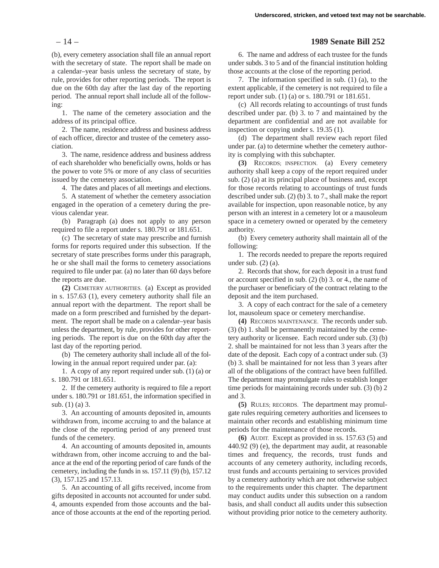(b), every cemetery association shall file an annual report with the secretary of state. The report shall be made on a calendar–year basis unless the secretary of state, by rule, provides for other reporting periods. The report is due on the 60th day after the last day of the reporting period. The annual report shall include all of the following:

1. The name of the cemetery association and the address of its principal office.

2. The name, residence address and business address of each officer, director and trustee of the cemetery association.

3. The name, residence address and business address of each shareholder who beneficially owns, holds or has the power to vote 5% or more of any class of securities issued by the cemetery association.

4. The dates and places of all meetings and elections.

5. A statement of whether the cemetery association engaged in the operation of a cemetery during the previous calendar year.

(b) Paragraph (a) does not apply to any person required to file a report under s. 180.791 or 181.651.

(c) The secretary of state may prescribe and furnish forms for reports required under this subsection. If the secretary of state prescribes forms under this paragraph, he or she shall mail the forms to cemetery associations required to file under par. (a) no later than 60 days before the reports are due.

**(2)** CEMETERY AUTHORITIES. (a) Except as provided in s. 157.63 (1), every cemetery authority shall file an annual report with the department. The report shall be made on a form prescribed and furnished by the department. The report shall be made on a calendar–year basis unless the department, by rule, provides for other reporting periods. The report is due on the 60th day after the last day of the reporting period.

(b) The cemetery authority shall include all of the following in the annual report required under par. (a):

1. A copy of any report required under sub. (1) (a) or s. 180.791 or 181.651.

2. If the cemetery authority is required to file a report under s. 180.791 or 181.651, the information specified in sub. (1) (a) 3.

3. An accounting of amounts deposited in, amounts withdrawn from, income accruing to and the balance at the close of the reporting period of any preneed trust funds of the cemetery.

4. An accounting of amounts deposited in, amounts withdrawn from, other income accruing to and the balance at the end of the reporting period of care funds of the cemetery, including the funds in ss. 157.11 (9) (b), 157.12 (3), 157.125 and 157.13.

5. An accounting of all gifts received, income from gifts deposited in accounts not accounted for under subd. 4, amounts expended from those accounts and the balance of those accounts at the end of the reporting period.

# – 14 – **1989 Senate Bill 252**

6. The name and address of each trustee for the funds under subds. 3 to 5 and of the financial institution holding those accounts at the close of the reporting period.

7. The information specified in sub. (1) (a), to the extent applicable, if the cemetery is not required to file a report under sub. (1) (a) or s. 180.791 or 181.651.

(c) All records relating to accountings of trust funds described under par. (b) 3. to 7 and maintained by the department are confidential and are not available for inspection or copying under s. 19.35 (1).

(d) The department shall review each report filed under par. (a) to determine whether the cemetery authority is complying with this subchapter.

**(3)** RECORDS; INSPECTION. (a) Every cemetery authority shall keep a copy of the report required under sub. (2) (a) at its principal place of business and, except for those records relating to accountings of trust funds described under sub. (2) (b) 3. to 7., shall make the report available for inspection, upon reasonable notice, by any person with an interest in a cemetery lot or a mausoleum space in a cemetery owned or operated by the cemetery authority.

(b) Every cemetery authority shall maintain all of the following:

1. The records needed to prepare the reports required under sub. (2) (a).

2. Records that show, for each deposit in a trust fund or account specified in sub. (2) (b) 3. or 4., the name of the purchaser or beneficiary of the contract relating to the deposit and the item purchased.

3. A copy of each contract for the sale of a cemetery lot, mausoleum space or cemetery merchandise.

**(4)** RECORDS MAINTENANCE. The records under sub. (3) (b) 1. shall be permanently maintained by the cemetery authority or licensee. Each record under sub. (3) (b) 2. shall be maintained for not less than 3 years after the date of the deposit. Each copy of a contract under sub. (3) (b) 3. shall be maintained for not less than 3 years after all of the obligations of the contract have been fulfilled. The department may promulgate rules to establish longer time periods for maintaining records under sub. (3) (b) 2 and 3.

**(5)** RULES; RECORDS. The department may promulgate rules requiring cemetery authorities and licensees to maintain other records and establishing minimum time periods for the maintenance of those records.

**(6)** AUDIT. Except as provided in ss. 157.63 (5) and 440.92 (9) (e), the department may audit, at reasonable times and frequency, the records, trust funds and accounts of any cemetery authority, including records, trust funds and accounts pertaining to services provided by a cemetery authority which are not otherwise subject to the requirements under this chapter. The department may conduct audits under this subsection on a random basis, and shall conduct all audits under this subsection without providing prior notice to the cemetery authority.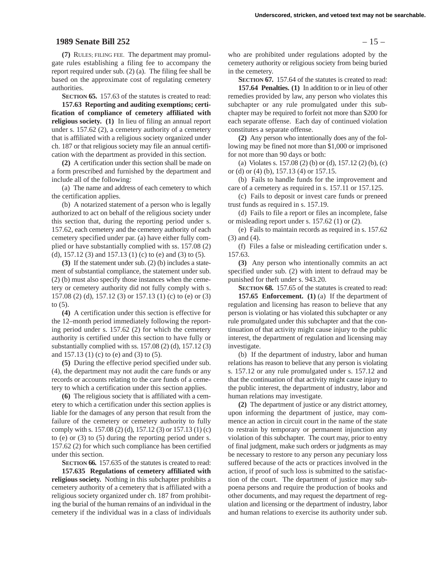#### **1989 Senate Bill 252** – 15 –

**(7)** RULES; FILING FEE. The department may promulgate rules establishing a filing fee to accompany the report required under sub. (2) (a). The filing fee shall be based on the approximate cost of regulating cemetery authorities.

**SECTION 65.** 157.63 of the statutes is created to read:

**157.63 Reporting and auditing exemptions; certification of compliance of cemetery affiliated with religious society. (1)** In lieu of filing an annual report under s. 157.62 (2), a cemetery authority of a cemetery that is affiliated with a religious society organized under ch. 187 or that religious society may file an annual certification with the department as provided in this section.

**(2)** A certification under this section shall be made on a form prescribed and furnished by the department and include all of the following:

(a) The name and address of each cemetery to which the certification applies.

(b) A notarized statement of a person who is legally authorized to act on behalf of the religious society under this section that, during the reporting period under s. 157.62, each cemetery and the cemetery authority of each cemetery specified under par. (a) have either fully complied or have substantially complied with ss. 157.08 (2) (d), 157.12 (3) and 157.13 (1) (c) to (e) and (3) to (5).

**(3)** If the statement under sub. (2) (b) includes a statement of substantial compliance, the statement under sub. (2) (b) must also specify those instances when the cemetery or cemetery authority did not fully comply with s. 157.08 (2) (d), 157.12 (3) or 157.13 (1) (c) to (e) or (3) to (5).

**(4)** A certification under this section is effective for the 12–month period immediately following the reporting period under s. 157.62 (2) for which the cemetery authority is certified under this section to have fully or substantially complied with ss. 157.08 (2) (d), 157.12 (3) and 157.13 (1) (c) to (e) and (3) to (5).

**(5)** During the effective period specified under sub. (4), the department may not audit the care funds or any records or accounts relating to the care funds of a cemetery to which a certification under this section applies.

**(6)** The religious society that is affiliated with a cemetery to which a certification under this section applies is liable for the damages of any person that result from the failure of the cemetery or cemetery authority to fully comply with s. 157.08 (2) (d), 157.12 (3) or 157.13 (1) (c) to (e) or (3) to (5) during the reporting period under s. 157.62 (2) for which such compliance has been certified under this section.

**SECTION 66.** 157.635 of the statutes is created to read: **157.635 Regulations of cemetery affiliated with**

**religious society.** Nothing in this subchapter prohibits a cemetery authority of a cemetery that is affiliated with a religious society organized under ch. 187 from prohibiting the burial of the human remains of an individual in the cemetery if the individual was in a class of individuals

who are prohibited under regulations adopted by the cemetery authority or religious society from being buried in the cemetery.

**SECTION 67.** 157.64 of the statutes is created to read: **157.64 Penalties. (1)** In addition to or in lieu of other remedies provided by law, any person who violates this subchapter or any rule promulgated under this subchapter may be required to forfeit not more than \$200 for each separate offense. Each day of continued violation constitutes a separate offense.

**(2)** Any person who intentionally does any of the following may be fined not more than \$1,000 or imprisoned for not more than 90 days or both:

(a) Violates s. 157.08 (2) (b) or (d), 157.12 (2) (b), (c) or (d) or (4) (b), 157.13 (4) or 157.15.

(b) Fails to handle funds for the improvement and care of a cemetery as required in s. 157.11 or 157.125.

(c) Fails to deposit or invest care funds or preneed trust funds as required in s. 157.19.

(d) Fails to file a report or files an incomplete, false or misleading report under s. 157.62 (1) or (2).

(e) Fails to maintain records as required in s. 157.62 (3) and (4).

(f) Files a false or misleading certification under s. 157.63.

**(3)** Any person who intentionally commits an act specified under sub. (2) with intent to defraud may be punished for theft under s. 943.20.

**SECTION 68.** 157.65 of the statutes is created to read: **157.65 Enforcement. (1)** (a) If the department of regulation and licensing has reason to believe that any person is violating or has violated this subchapter or any rule promulgated under this subchapter and that the continuation of that activity might cause injury to the public interest, the department of regulation and licensing may investigate.

(b) If the department of industry, labor and human relations has reason to believe that any person is violating s. 157.12 or any rule promulgated under s. 157.12 and that the continuation of that activity might cause injury to the public interest, the department of industry, labor and human relations may investigate.

**(2)** The department of justice or any district attorney, upon informing the department of justice, may commence an action in circuit court in the name of the state to restrain by temporary or permanent injunction any violation of this subchapter. The court may, prior to entry of final judgment, make such orders or judgments as may be necessary to restore to any person any pecuniary loss suffered because of the acts or practices involved in the action, if proof of such loss is submitted to the satisfaction of the court. The department of justice may subpoena persons and require the production of books and other documents, and may request the department of regulation and licensing or the department of industry, labor and human relations to exercise its authority under sub.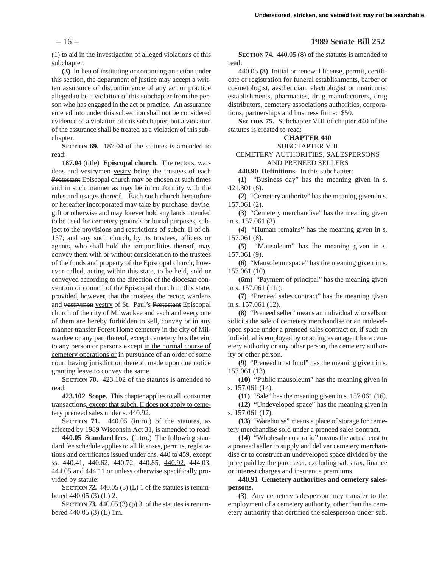(1) to aid in the investigation of alleged violations of this subchapter.

**(3)** In lieu of instituting or continuing an action under this section, the department of justice may accept a written assurance of discontinuance of any act or practice alleged to be a violation of this subchapter from the person who has engaged in the act or practice. An assurance entered into under this subsection shall not be considered evidence of a violation of this subchapter, but a violation of the assurance shall be treated as a violation of this subchapter.

**SECTION 69.** 187.04 of the statutes is amended to read:

**187.04** (title) **Episcopal church.** The rectors, wardens and vestrymen vestry being the trustees of each Protestant Episcopal church may be chosen at such times and in such manner as may be in conformity with the rules and usages thereof. Each such church heretofore or hereafter incorporated may take by purchase, devise, gift or otherwise and may forever hold any lands intended to be used for cemetery grounds or burial purposes, subject to the provisions and restrictions of subch. II of ch. 157; and any such church, by its trustees, officers or agents, who shall hold the temporalities thereof, may convey them with or without consideration to the trustees of the funds and property of the Episcopal church, however called, acting within this state, to be held, sold or conveyed according to the direction of the diocesan convention or council of the Episcopal church in this state; provided, however, that the trustees, the rector, wardens and vestrymen vestry of St. Paul's Protestant Episcopal church of the city of Milwaukee and each and every one of them are hereby forbidden to sell, convey or in any manner transfer Forest Home cemetery in the city of Milwaukee or any part thereof, except cemetery lots therein, to any person or persons except in the normal course of cemetery operations or in pursuance of an order of some court having jurisdiction thereof, made upon due notice granting leave to convey the same.

**SECTION 70.** 423.102 of the statutes is amended to read:

**423.102 Scope.** This chapter applies to all consumer transactions, except that subch. II does not apply to cemetery preneed sales under s. 440.92.

**SECTION 71.** 440.05 (intro.) of the statutes, as affected by 1989 Wisconsin Act 31, is amended to read:

**440.05 Standard fees.** (intro.) The following standard fee schedule applies to all licenses, permits, registrations and certificates issued under chs. 440 to 459, except ss. 440.41, 440.62, 440.72, 440.85, 440.92, 444.03, 444.05 and 444.11 or unless otherwise specifically provided by statute:

**SECTION 72.** 440.05 (3) (L) 1 of the statutes is renumbered 440.05 (3) (L) 2.

**SECTION 73.** 440.05 (3) (p) 3. of the statutes is renumbered 440.05 (3) (L) 1m.

#### – 16 – **1989 Senate Bill 252**

**SECTION 74.** 440.05 (8) of the statutes is amended to read:

440.05 **(8)** Initial or renewal license, permit, certificate or registration for funeral establishments, barber or cosmetologist, aesthetician, electrologist or manicurist establishments, pharmacies, drug manufacturers, drug distributors, cemetery associations authorities, corporations, partnerships and business firms: \$50.

**SECTION 75.** Subchapter VIII of chapter 440 of the statutes is created to read:

# **CHAPTER 440**

#### SUBCHAPTER VIII

#### CEMETERY AUTHORITIES, SALESPERSONS AND PRENEED SELLERS

**440.90 Definitions.** In this subchapter:

**(1)** "Business day" has the meaning given in s. 421.301 (6).

**(2)** "Cemetery authority" has the meaning given in s. 157.061 (2).

**(3)** "Cemetery merchandise" has the meaning given in s. 157.061 (3).

**(4)** "Human remains" has the meaning given in s. 157.061 (8).

**(5)** "Mausoleum" has the meaning given in s. 157.061 (9).

**(6)** "Mausoleum space" has the meaning given in s. 157.061 (10).

**(6m)** "Payment of principal" has the meaning given in s. 157.061 (11r).

**(7)** "Preneed sales contract" has the meaning given in s. 157.061 (12).

**(8)** "Preneed seller" means an individual who sells or solicits the sale of cemetery merchandise or an undeveloped space under a preneed sales contract or, if such an individual is employed by or acting as an agent for a cemetery authority or any other person, the cemetery authority or other person.

**(9)** "Preneed trust fund" has the meaning given in s. 157.061 (13).

**(10)** "Public mausoleum" has the meaning given in s. 157.061 (14).

**(11)** "Sale" has the meaning given in s. 157.061 (16).

**(12)** "Undeveloped space" has the meaning given in s. 157.061 (17).

**(13)** "Warehouse" means a place of storage for cemetery merchandise sold under a preneed sales contract.

**(14)** "Wholesale cost ratio" means the actual cost to a preneed seller to supply and deliver cemetery merchandise or to construct an undeveloped space divided by the price paid by the purchaser, excluding sales tax, finance or interest charges and insurance premiums.

**440.91 Cemetery authorities and cemetery salespersons.**

**(3)** Any cemetery salesperson may transfer to the employment of a cemetery authority, other than the cemetery authority that certified the salesperson under sub.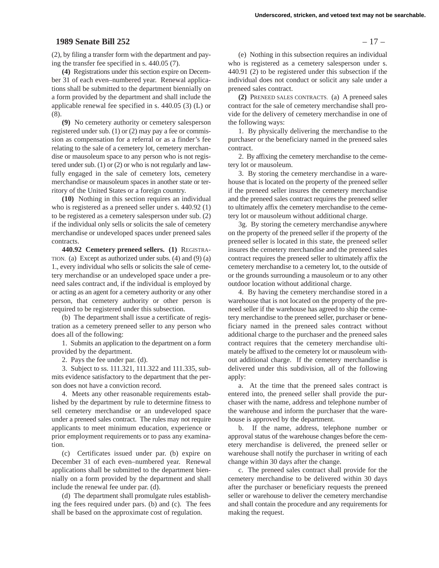#### **1989 Senate Bill 252** – 17 –

(2), by filing a transfer form with the department and paying the transfer fee specified in s. 440.05 (7).

**(4)** Registrations under this section expire on December 31 of each even–numbered year. Renewal applications shall be submitted to the department biennially on a form provided by the department and shall include the applicable renewal fee specified in s. 440.05 (3) (L) or (8).

**(9)** No cemetery authority or cemetery salesperson registered under sub. (1) or (2) may pay a fee or commission as compensation for a referral or as a finder's fee relating to the sale of a cemetery lot, cemetery merchandise or mausoleum space to any person who is not registered under sub. (1) or (2) or who is not regularly and lawfully engaged in the sale of cemetery lots, cemetery merchandise or mausoleum spaces in another state or territory of the United States or a foreign country.

**(10)** Nothing in this section requires an individual who is registered as a preneed seller under s. 440.92 (1) to be registered as a cemetery salesperson under sub. (2) if the individual only sells or solicits the sale of cemetery merchandise or undeveloped spaces under preneed sales contracts.

**440.92 Cemetery preneed sellers. (1)** REGISTRA-TION. (a) Except as authorized under subs. (4) and (9) (a) 1., every individual who sells or solicits the sale of cemetery merchandise or an undeveloped space under a preneed sales contract and, if the individual is employed by or acting as an agent for a cemetery authority or any other person, that cemetery authority or other person is required to be registered under this subsection.

(b) The department shall issue a certificate of registration as a cemetery preneed seller to any person who does all of the following:

1. Submits an application to the department on a form provided by the department.

2. Pays the fee under par. (d).

3. Subject to ss. 111.321, 111.322 and 111.335, submits evidence satisfactory to the department that the person does not have a conviction record.

4. Meets any other reasonable requirements established by the department by rule to determine fitness to sell cemetery merchandise or an undeveloped space under a preneed sales contract. The rules may not require applicants to meet minimum education, experience or prior employment requirements or to pass any examination.

(c) Certificates issued under par. (b) expire on December 31 of each even–numbered year. Renewal applications shall be submitted to the department biennially on a form provided by the department and shall include the renewal fee under par. (d).

(d) The department shall promulgate rules establishing the fees required under pars. (b) and (c). The fees shall be based on the approximate cost of regulation.

(e) Nothing in this subsection requires an individual who is registered as a cemetery salesperson under s. 440.91 (2) to be registered under this subsection if the individual does not conduct or solicit any sale under a preneed sales contract.

**(2)** PRENEED SALES CONTRACTS. (a) A preneed sales contract for the sale of cemetery merchandise shall provide for the delivery of cemetery merchandise in one of the following ways:

1. By physically delivering the merchandise to the purchaser or the beneficiary named in the preneed sales contract.

2. By affixing the cemetery merchandise to the cemetery lot or mausoleum.

3. By storing the cemetery merchandise in a warehouse that is located on the property of the preneed seller if the preneed seller insures the cemetery merchandise and the preneed sales contract requires the preneed seller to ultimately affix the cemetery merchandise to the cemetery lot or mausoleum without additional charge.

3g. By storing the cemetery merchandise anywhere on the property of the preneed seller if the property of the preneed seller is located in this state, the preneed seller insures the cemetery merchandise and the preneed sales contract requires the preneed seller to ultimately affix the cemetery merchandise to a cemetery lot, to the outside of or the grounds surrounding a mausoleum or to any other outdoor location without additional charge.

4. By having the cemetery merchandise stored in a warehouse that is not located on the property of the preneed seller if the warehouse has agreed to ship the cemetery merchandise to the preneed seller, purchaser or beneficiary named in the preneed sales contract without additional charge to the purchaser and the preneed sales contract requires that the cemetery merchandise ultimately be affixed to the cemetery lot or mausoleum without additional charge. If the cemetery merchandise is delivered under this subdivision, all of the following apply:

a. At the time that the preneed sales contract is entered into, the preneed seller shall provide the purchaser with the name, address and telephone number of the warehouse and inform the purchaser that the warehouse is approved by the department.

b. If the name, address, telephone number or approval status of the warehouse changes before the cemetery merchandise is delivered, the preneed seller or warehouse shall notify the purchaser in writing of each change within 30 days after the change.

c. The preneed sales contract shall provide for the cemetery merchandise to be delivered within 30 days after the purchaser or beneficiary requests the preneed seller or warehouse to deliver the cemetery merchandise and shall contain the procedure and any requirements for making the request.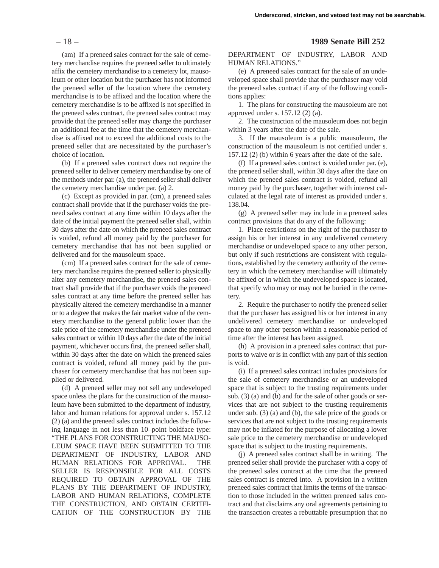(am) If a preneed sales contract for the sale of cemetery merchandise requires the preneed seller to ultimately affix the cemetery merchandise to a cemetery lot, mausoleum or other location but the purchaser has not informed the preneed seller of the location where the cemetery merchandise is to be affixed and the location where the cemetery merchandise is to be affixed is not specified in the preneed sales contract, the preneed sales contract may provide that the preneed seller may charge the purchaser an additional fee at the time that the cemetery merchandise is affixed not to exceed the additional costs to the preneed seller that are necessitated by the purchaser's choice of location.

(b) If a preneed sales contract does not require the preneed seller to deliver cemetery merchandise by one of the methods under par. (a), the preneed seller shall deliver the cemetery merchandise under par. (a) 2.

(c) Except as provided in par. (cm), a preneed sales contract shall provide that if the purchaser voids the preneed sales contract at any time within 10 days after the date of the initial payment the preneed seller shall, within 30 days after the date on which the preneed sales contract is voided, refund all money paid by the purchaser for cemetery merchandise that has not been supplied or delivered and for the mausoleum space.

(cm) If a preneed sales contract for the sale of cemetery merchandise requires the preneed seller to physically alter any cemetery merchandise, the preneed sales contract shall provide that if the purchaser voids the preneed sales contract at any time before the preneed seller has physically altered the cemetery merchandise in a manner or to a degree that makes the fair market value of the cemetery merchandise to the general public lower than the sale price of the cemetery merchandise under the preneed sales contract or within 10 days after the date of the initial payment, whichever occurs first, the preneed seller shall, within 30 days after the date on which the preneed sales contract is voided, refund all money paid by the purchaser for cemetery merchandise that has not been supplied or delivered.

(d) A preneed seller may not sell any undeveloped space unless the plans for the construction of the mausoleum have been submitted to the department of industry, labor and human relations for approval under s. 157.12 (2) (a) and the preneed sales contract includes the following language in not less than 10–point boldface type: "THE PLANS FOR CONSTRUCTING THE MAUSO-LEUM SPACE HAVE BEEN SUBMITTED TO THE DEPARTMENT OF INDUSTRY, LABOR AND HUMAN RELATIONS FOR APPROVAL. THE SELLER IS RESPONSIBLE FOR ALL COSTS REQUIRED TO OBTAIN APPROVAL OF THE PLANS BY THE DEPARTMENT OF INDUSTRY, LABOR AND HUMAN RELATIONS, COMPLETE THE CONSTRUCTION, AND OBTAIN CERTIFI-CATION OF THE CONSTRUCTION BY THE

#### – 18 – **1989 Senate Bill 252**

DEPARTMENT OF INDUSTRY, LABOR AND HUMAN RELATIONS."

(e) A preneed sales contract for the sale of an undeveloped space shall provide that the purchaser may void the preneed sales contract if any of the following conditions applies:

1. The plans for constructing the mausoleum are not approved under s. 157.12 (2) (a).

2. The construction of the mausoleum does not begin within 3 years after the date of the sale.

3. If the mausoleum is a public mausoleum, the construction of the mausoleum is not certified under s. 157.12 (2) (b) within 6 years after the date of the sale.

(f) If a preneed sales contract is voided under par. (e), the preneed seller shall, within 30 days after the date on which the preneed sales contract is voided, refund all money paid by the purchaser, together with interest calculated at the legal rate of interest as provided under s. 138.04.

(g) A preneed seller may include in a preneed sales contract provisions that do any of the following:

1. Place restrictions on the right of the purchaser to assign his or her interest in any undelivered cemetery merchandise or undeveloped space to any other person, but only if such restrictions are consistent with regulations, established by the cemetery authority of the cemetery in which the cemetery merchandise will ultimately be affixed or in which the undeveloped space is located, that specify who may or may not be buried in the cemetery.

2. Require the purchaser to notify the preneed seller that the purchaser has assigned his or her interest in any undelivered cemetery merchandise or undeveloped space to any other person within a reasonable period of time after the interest has been assigned.

(h) A provision in a preneed sales contract that purports to waive or is in conflict with any part of this section is void.

(i) If a preneed sales contract includes provisions for the sale of cemetery merchandise or an undeveloped space that is subject to the trusting requirements under sub. (3) (a) and (b) and for the sale of other goods or services that are not subject to the trusting requirements under sub. (3) (a) and (b), the sale price of the goods or services that are not subject to the trusting requirements may not be inflated for the purpose of allocating a lower sale price to the cemetery merchandise or undeveloped space that is subject to the trusting requirements.

(j) A preneed sales contract shall be in writing. The preneed seller shall provide the purchaser with a copy of the preneed sales contract at the time that the preneed sales contract is entered into. A provision in a written preneed sales contract that limits the terms of the transaction to those included in the written preneed sales contract and that disclaims any oral agreements pertaining to the transaction creates a rebuttable presumption that no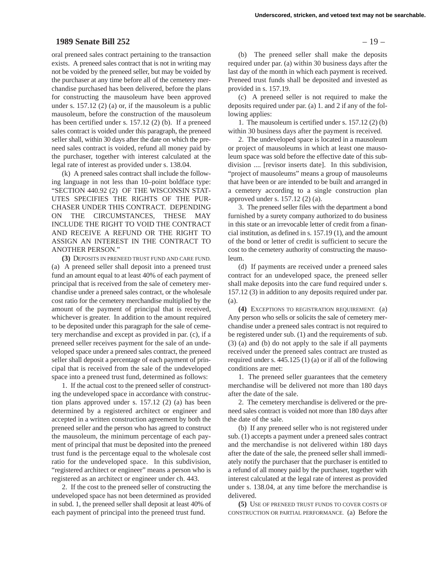#### **1989 Senate Bill 252** – 19 –

oral preneed sales contract pertaining to the transaction exists. A preneed sales contract that is not in writing may not be voided by the preneed seller, but may be voided by the purchaser at any time before all of the cemetery merchandise purchased has been delivered, before the plans for constructing the mausoleum have been approved under s. 157.12 (2) (a) or, if the mausoleum is a public mausoleum, before the construction of the mausoleum has been certified under s. 157.12 (2) (b). If a preneed sales contract is voided under this paragraph, the preneed seller shall, within 30 days after the date on which the preneed sales contract is voided, refund all money paid by the purchaser, together with interest calculated at the legal rate of interest as provided under s. 138.04.

(k) A preneed sales contract shall include the following language in not less than 10–point boldface type: "SECTION 440.92 (2) OF THE WISCONSIN STAT-UTES SPECIFIES THE RIGHTS OF THE PUR-CHASER UNDER THIS CONTRACT. DEPENDING ON THE CIRCUMSTANCES, THESE MAY INCLUDE THE RIGHT TO VOID THE CONTRACT AND RECEIVE A REFUND OR THE RIGHT TO ASSIGN AN INTEREST IN THE CONTRACT TO ANOTHER PERSON."

**(3)** DEPOSITS IN PRENEED TRUST FUND AND CARE FUND. (a) A preneed seller shall deposit into a preneed trust fund an amount equal to at least 40% of each payment of principal that is received from the sale of cemetery merchandise under a preneed sales contract, or the wholesale cost ratio for the cemetery merchandise multiplied by the amount of the payment of principal that is received, whichever is greater. In addition to the amount required to be deposited under this paragraph for the sale of cemetery merchandise and except as provided in par. (c), if a preneed seller receives payment for the sale of an undeveloped space under a preneed sales contract, the preneed seller shall deposit a percentage of each payment of principal that is received from the sale of the undeveloped space into a preneed trust fund, determined as follows:

1. If the actual cost to the preneed seller of constructing the undeveloped space in accordance with construction plans approved under s. 157.12 (2) (a) has been determined by a registered architect or engineer and accepted in a written construction agreement by both the preneed seller and the person who has agreed to construct the mausoleum, the minimum percentage of each payment of principal that must be deposited into the preneed trust fund is the percentage equal to the wholesale cost ratio for the undeveloped space. In this subdivision, "registered architect or engineer" means a person who is registered as an architect or engineer under ch. 443.

2. If the cost to the preneed seller of constructing the undeveloped space has not been determined as provided in subd. 1, the preneed seller shall deposit at least 40% of each payment of principal into the preneed trust fund.

(b) The preneed seller shall make the deposits required under par. (a) within 30 business days after the last day of the month in which each payment is received. Preneed trust funds shall be deposited and invested as provided in s. 157.19.

(c) A preneed seller is not required to make the deposits required under par. (a) 1. and 2 if any of the following applies:

1. The mausoleum is certified under s. 157.12 (2) (b) within 30 business days after the payment is received.

2. The undeveloped space is located in a mausoleum or project of mausoleums in which at least one mausoleum space was sold before the effective date of this subdivision .... [revisor inserts date]. In this subdivision, "project of mausoleums" means a group of mausoleums that have been or are intended to be built and arranged in a cemetery according to a single construction plan approved under s. 157.12 (2) (a).

3. The preneed seller files with the department a bond furnished by a surety company authorized to do business in this state or an irrevocable letter of credit from a financial institution, as defined in s. 157.19 (1), and the amount of the bond or letter of credit is sufficient to secure the cost to the cemetery authority of constructing the mausoleum.

(d) If payments are received under a preneed sales contract for an undeveloped space, the preneed seller shall make deposits into the care fund required under s. 157.12 (3) in addition to any deposits required under par. (a).

**(4)** EXCEPTIONS TO REGISTRATION REQUIREMENT. (a) Any person who sells or solicits the sale of cemetery merchandise under a preneed sales contract is not required to be registered under sub. (1) and the requirements of sub. (3) (a) and (b) do not apply to the sale if all payments received under the preneed sales contract are trusted as required under s. 445.125 (1) (a) or if all of the following conditions are met:

1. The preneed seller guarantees that the cemetery merchandise will be delivered not more than 180 days after the date of the sale.

2. The cemetery merchandise is delivered or the preneed sales contract is voided not more than 180 days after the date of the sale.

(b) If any preneed seller who is not registered under sub. (1) accepts a payment under a preneed sales contract and the merchandise is not delivered within 180 days after the date of the sale, the preneed seller shall immediately notify the purchaser that the purchaser is entitled to a refund of all money paid by the purchaser, together with interest calculated at the legal rate of interest as provided under s. 138.04, at any time before the merchandise is delivered.

**(5)** USE OF PRENEED TRUST FUNDS TO COVER COSTS OF CONSTRUCTION OR PARTIAL PERFORMANCE. (a) Before the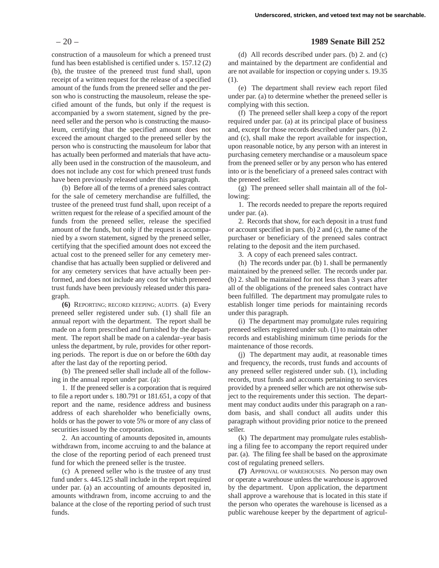construction of a mausoleum for which a preneed trust fund has been established is certified under s. 157.12 (2) (b), the trustee of the preneed trust fund shall, upon receipt of a written request for the release of a specified amount of the funds from the preneed seller and the person who is constructing the mausoleum, release the specified amount of the funds, but only if the request is accompanied by a sworn statement, signed by the preneed seller and the person who is constructing the mausoleum, certifying that the specified amount does not exceed the amount charged to the preneed seller by the person who is constructing the mausoleum for labor that has actually been performed and materials that have actually been used in the construction of the mausoleum, and does not include any cost for which preneed trust funds have been previously released under this paragraph.

(b) Before all of the terms of a preneed sales contract for the sale of cemetery merchandise are fulfilled, the trustee of the preneed trust fund shall, upon receipt of a written request for the release of a specified amount of the funds from the preneed seller, release the specified amount of the funds, but only if the request is accompanied by a sworn statement, signed by the preneed seller, certifying that the specified amount does not exceed the actual cost to the preneed seller for any cemetery merchandise that has actually been supplied or delivered and for any cemetery services that have actually been performed, and does not include any cost for which preneed trust funds have been previously released under this paragraph.

**(6)** REPORTING; RECORD KEEPING; AUDITS. (a) Every preneed seller registered under sub. (1) shall file an annual report with the department. The report shall be made on a form prescribed and furnished by the department. The report shall be made on a calendar–year basis unless the department, by rule, provides for other reporting periods. The report is due on or before the 60th day after the last day of the reporting period.

(b) The preneed seller shall include all of the following in the annual report under par. (a):

1. If the preneed seller is a corporation that is required to file a report under s. 180.791 or 181.651, a copy of that report and the name, residence address and business address of each shareholder who beneficially owns, holds or has the power to vote 5% or more of any class of securities issued by the corporation.

2. An accounting of amounts deposited in, amounts withdrawn from, income accruing to and the balance at the close of the reporting period of each preneed trust fund for which the preneed seller is the trustee.

(c) A preneed seller who is the trustee of any trust fund under s. 445.125 shall include in the report required under par. (a) an accounting of amounts deposited in, amounts withdrawn from, income accruing to and the balance at the close of the reporting period of such trust funds.

#### – 20 – **1989 Senate Bill 252**

(d) All records described under pars. (b) 2. and (c) and maintained by the department are confidential and are not available for inspection or copying under s. 19.35 (1).

(e) The department shall review each report filed under par. (a) to determine whether the preneed seller is complying with this section.

(f) The preneed seller shall keep a copy of the report required under par. (a) at its principal place of business and, except for those records described under pars. (b) 2. and (c), shall make the report available for inspection, upon reasonable notice, by any person with an interest in purchasing cemetery merchandise or a mausoleum space from the preneed seller or by any person who has entered into or is the beneficiary of a preneed sales contract with the preneed seller.

(g) The preneed seller shall maintain all of the following:

1. The records needed to prepare the reports required under par. (a).

2. Records that show, for each deposit in a trust fund or account specified in pars. (b) 2 and (c), the name of the purchaser or beneficiary of the preneed sales contract relating to the deposit and the item purchased.

3. A copy of each preneed sales contract.

(h) The records under par. (b) 1. shall be permanently maintained by the preneed seller. The records under par. (b) 2. shall be maintained for not less than 3 years after all of the obligations of the preneed sales contract have been fulfilled. The department may promulgate rules to establish longer time periods for maintaining records under this paragraph.

(i) The department may promulgate rules requiring preneed sellers registered under sub. (1) to maintain other records and establishing minimum time periods for the maintenance of those records.

(j) The department may audit, at reasonable times and frequency, the records, trust funds and accounts of any preneed seller registered under sub. (1), including records, trust funds and accounts pertaining to services provided by a preneed seller which are not otherwise subject to the requirements under this section. The department may conduct audits under this paragraph on a random basis, and shall conduct all audits under this paragraph without providing prior notice to the preneed seller.

(k) The department may promulgate rules establishing a filing fee to accompany the report required under par. (a). The filing fee shall be based on the approximate cost of regulating preneed sellers.

**(7)** APPROVAL OF WAREHOUSES. No person may own or operate a warehouse unless the warehouse is approved by the department. Upon application, the department shall approve a warehouse that is located in this state if the person who operates the warehouse is licensed as a public warehouse keeper by the department of agricul-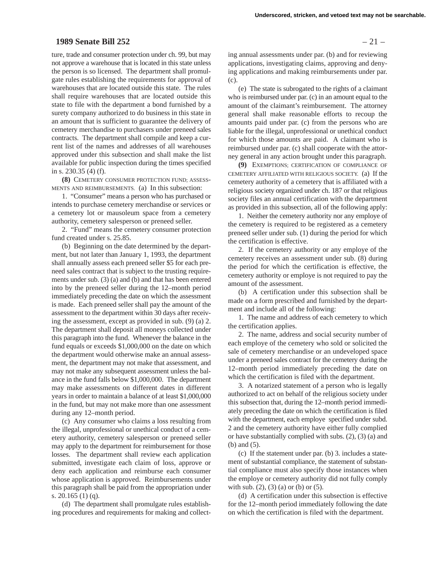# **1989 Senate Bill 252** – 21 –

ture, trade and consumer protection under ch. 99, but may not approve a warehouse that is located in this state unless the person is so licensed. The department shall promulgate rules establishing the requirements for approval of warehouses that are located outside this state. The rules shall require warehouses that are located outside this state to file with the department a bond furnished by a surety company authorized to do business in this state in an amount that is sufficient to guarantee the delivery of cemetery merchandise to purchasers under preneed sales contracts. The department shall compile and keep a current list of the names and addresses of all warehouses approved under this subsection and shall make the list available for public inspection during the times specified in s. 230.35 (4) (f).

**(8)** CEMETERY CONSUMER PROTECTION FUND; ASSESS-MENTS AND REIMBURSEMENTS. (a) In this subsection:

1. "Consumer" means a person who has purchased or intends to purchase cemetery merchandise or services or a cemetery lot or mausoleum space from a cemetery authority, cemetery salesperson or preneed seller.

2. "Fund" means the cemetery consumer protection fund created under s. 25.85.

(b) Beginning on the date determined by the department, but not later than January 1, 1993, the department shall annually assess each preneed seller \$5 for each preneed sales contract that is subject to the trusting requirements under sub. (3) (a) and (b) and that has been entered into by the preneed seller during the 12–month period immediately preceding the date on which the assessment is made. Each preneed seller shall pay the amount of the assessment to the department within 30 days after receiving the assessment, except as provided in sub. (9) (a) 2. The department shall deposit all moneys collected under this paragraph into the fund. Whenever the balance in the fund equals or exceeds \$1,000,000 on the date on which the department would otherwise make an annual assessment, the department may not make that assessment, and may not make any subsequent assessment unless the balance in the fund falls below \$1,000,000. The department may make assessments on different dates in different years in order to maintain a balance of at least \$1,000,000 in the fund, but may not make more than one assessment during any 12–month period.

(c) Any consumer who claims a loss resulting from the illegal, unprofessional or unethical conduct of a cemetery authority, cemetery salesperson or preneed seller may apply to the department for reimbursement for those losses. The department shall review each application submitted, investigate each claim of loss, approve or deny each application and reimburse each consumer whose application is approved. Reimbursements under this paragraph shall be paid from the appropriation under s. 20.165 (1) (q).

(d) The department shall promulgate rules establishing procedures and requirements for making and collect-

ing annual assessments under par. (b) and for reviewing applications, investigating claims, approving and denying applications and making reimbursements under par. (c).

(e) The state is subrogated to the rights of a claimant who is reimbursed under par. (c) in an amount equal to the amount of the claimant's reimbursement. The attorney general shall make reasonable efforts to recoup the amounts paid under par. (c) from the persons who are liable for the illegal, unprofessional or unethical conduct for which those amounts are paid. A claimant who is reimbursed under par. (c) shall cooperate with the attorney general in any action brought under this paragraph.

**(9)** EXEMPTIONS; CERTIFICATION OF COMPLIANCE OF CEMETERY AFFILIATED WITH RELIGIOUS SOCIETY. (a) If the cemetery authority of a cemetery that is affiliated with a religious society organized under ch. 187 or that religious society files an annual certification with the department as provided in this subsection, all of the following apply:

1. Neither the cemetery authority nor any employe of the cemetery is required to be registered as a cemetery preneed seller under sub. (1) during the period for which the certification is effective.

2. If the cemetery authority or any employe of the cemetery receives an assessment under sub. (8) during the period for which the certification is effective, the cemetery authority or employe is not required to pay the amount of the assessment.

(b) A certification under this subsection shall be made on a form prescribed and furnished by the department and include all of the following:

1. The name and address of each cemetery to which the certification applies.

2. The name, address and social security number of each employe of the cemetery who sold or solicited the sale of cemetery merchandise or an undeveloped space under a preneed sales contract for the cemetery during the 12–month period immediately preceding the date on which the certification is filed with the department.

3. A notarized statement of a person who is legally authorized to act on behalf of the religious society under this subsection that, during the 12–month period immediately preceding the date on which the certification is filed with the department, each employe specified under subd. 2 and the cemetery authority have either fully complied or have substantially complied with subs. (2), (3) (a) and (b) and (5).

(c) If the statement under par. (b) 3. includes a statement of substantial compliance, the statement of substantial compliance must also specify those instances when the employe or cemetery authority did not fully comply with sub.  $(2)$ ,  $(3)$   $(a)$  or  $(b)$  or  $(5)$ .

(d) A certification under this subsection is effective for the 12–month period immediately following the date on which the certification is filed with the department.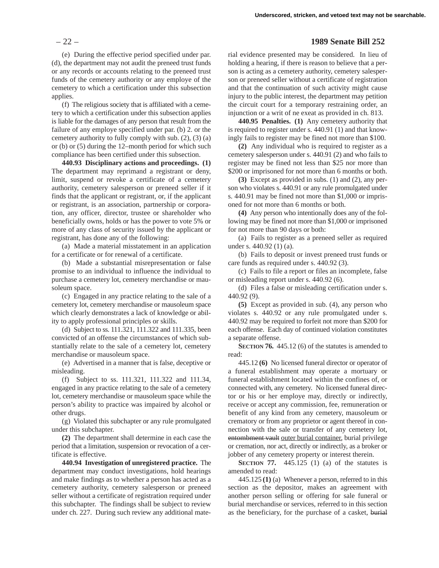(e) During the effective period specified under par. (d), the department may not audit the preneed trust funds or any records or accounts relating to the preneed trust funds of the cemetery authority or any employe of the cemetery to which a certification under this subsection applies.

(f) The religious society that is affiliated with a cemetery to which a certification under this subsection applies is liable for the damages of any person that result from the failure of any employe specified under par. (b) 2. or the cemetery authority to fully comply with sub. (2), (3) (a) or (b) or (5) during the 12–month period for which such compliance has been certified under this subsection.

**440.93 Disciplinary actions and proceedings. (1)** The department may reprimand a registrant or deny, limit, suspend or revoke a certificate of a cemetery authority, cemetery salesperson or preneed seller if it finds that the applicant or registrant, or, if the applicant or registrant, is an association, partnership or corporation, any officer, director, trustee or shareholder who beneficially owns, holds or has the power to vote 5% or more of any class of security issued by the applicant or registrant, has done any of the following:

(a) Made a material misstatement in an application for a certificate or for renewal of a certificate.

(b) Made a substantial misrepresentation or false promise to an individual to influence the individual to purchase a cemetery lot, cemetery merchandise or mausoleum space.

(c) Engaged in any practice relating to the sale of a cemetery lot, cemetery merchandise or mausoleum space which clearly demonstrates a lack of knowledge or ability to apply professional principles or skills.

(d) Subject to ss. 111.321, 111.322 and 111.335, been convicted of an offense the circumstances of which substantially relate to the sale of a cemetery lot, cemetery merchandise or mausoleum space.

(e) Advertised in a manner that is false, deceptive or misleading.

(f) Subject to ss. 111.321, 111.322 and 111.34, engaged in any practice relating to the sale of a cemetery lot, cemetery merchandise or mausoleum space while the person's ability to practice was impaired by alcohol or other drugs.

(g) Violated this subchapter or any rule promulgated under this subchapter.

**(2)** The department shall determine in each case the period that a limitation, suspension or revocation of a certificate is effective.

**440.94 Investigation of unregistered practice.** The department may conduct investigations, hold hearings and make findings as to whether a person has acted as a cemetery authority, cemetery salesperson or preneed seller without a certificate of registration required under this subchapter. The findings shall be subject to review under ch. 227. During such review any additional mate-

#### – 22 – **1989 Senate Bill 252**

rial evidence presented may be considered. In lieu of holding a hearing, if there is reason to believe that a person is acting as a cemetery authority, cemetery salesperson or preneed seller without a certificate of registration and that the continuation of such activity might cause injury to the public interest, the department may petition the circuit court for a temporary restraining order, an injunction or a writ of ne exeat as provided in ch. 813.

**440.95 Penalties. (1)** Any cemetery authority that is required to register under s. 440.91 (1) and that knowingly fails to register may be fined not more than \$100.

**(2)** Any individual who is required to register as a cemetery salesperson under s. 440.91 (2) and who fails to register may be fined not less than \$25 nor more than \$200 or imprisoned for not more than 6 months or both.

**(3)** Except as provided in subs. (1) and (2), any person who violates s. 440.91 or any rule promulgated under s. 440.91 may be fined not more than \$1,000 or imprisoned for not more than 6 months or both.

**(4)** Any person who intentionally does any of the following may be fined not more than \$1,000 or imprisoned for not more than 90 days or both:

(a) Fails to register as a preneed seller as required under s. 440.92 (1) (a).

(b) Fails to deposit or invest preneed trust funds or care funds as required under s. 440.92 (3).

(c) Fails to file a report or files an incomplete, false or misleading report under s. 440.92 (6).

(d) Files a false or misleading certification under s. 440.92 (9).

**(5)** Except as provided in sub. (4), any person who violates s. 440.92 or any rule promulgated under s. 440.92 may be required to forfeit not more than \$200 for each offense. Each day of continued violation constitutes a separate offense.

**SECTION 76.** 445.12 (6) of the statutes is amended to read:

445.12 **(6)** No licensed funeral director or operator of a funeral establishment may operate a mortuary or funeral establishment located within the confines of, or connected with, any cemetery. No licensed funeral director or his or her employe may, directly or indirectly, receive or accept any commission, fee, remuneration or benefit of any kind from any cemetery, mausoleum or crematory or from any proprietor or agent thereof in connection with the sale or transfer of any cemetery lot, entombment vault outer burial container, burial privilege or cremation, nor act, directly or indirectly, as a broker or jobber of any cemetery property or interest therein.

**SECTION 77.** 445.125 (1) (a) of the statutes is amended to read:

445.125 **(1)** (a) Whenever a person, referred to in this section as the depositor, makes an agreement with another person selling or offering for sale funeral or burial merchandise or services, referred to in this section as the beneficiary, for the purchase of a casket, burial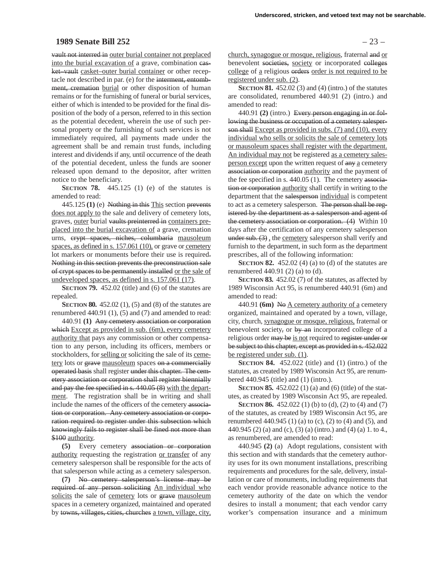# **1989 Senate Bill 252** – 23 –

vault not interred in outer burial container not preplaced into the burial excavation of a grave, combination casket–vault casket–outer burial container or other receptacle not described in par. (e) for the interment, entombment, cremation burial or other disposition of human remains or for the furnishing of funeral or burial services, either of which is intended to be provided for the final disposition of the body of a person, referred to in this section as the potential decedent, wherein the use of such personal property or the furnishing of such services is not immediately required, all payments made under the agreement shall be and remain trust funds, including interest and dividends if any, until occurrence of the death of the potential decedent, unless the funds are sooner released upon demand to the depositor, after written notice to the beneficiary.

**SECTION 78.** 445.125 (1) (e) of the statutes is amended to read:

445.125 **(1)** (e) Nothing in this This section prevents does not apply to the sale and delivery of cemetery lots, graves, outer burial vaults preinterred in containers preplaced into the burial excavation of a grave, cremation urns, crypt spaces, niches, columbaria mausoleum spaces, as defined in s. 157.061 (10), or grave or cemetery lot markers or monuments before their use is required. Nothing in this section prevents the preconstruction sale of crypt spaces to be permanently installed or the sale of undeveloped spaces, as defined in s. 157.061 (17).

**SECTION 79.** 452.02 (title) and (6) of the statutes are repealed.

**SECTION 80.** 452.02 (1), (5) and (8) of the statutes are renumbered 440.91 (1), (5) and (7) and amended to read:

440.91 **(1)** Any cemetery association or corporation which Except as provided in sub. (6m), every cemetery authority that pays any commission or other compensation to any person, including its officers, members or stockholders, for selling or soliciting the sale of its cemetery lots or grave mausoleum spaces on a commercially operated basis shall register under this chapter. The cemetery association or corporation shall register biennially and pay the fee specified in s. 440.05 (8) with the department. The registration shall be in writing and shall include the names of the officers of the cemetery association or corporation. Any cemetery association or corporation required to register under this subsection which knowingly fails to register shall be fined not more than \$100 authority.

**(5)** Every cemetery association or corporation authority requesting the registration or transfer of any cemetery salesperson shall be responsible for the acts of that salesperson while acting as a cemetery salesperson.

**(7)** No cemetery salesperson's license may be required of any person soliciting An individual who solicits the sale of cemetery lots or grave mausoleum spaces in a cemetery organized, maintained and operated by towns, villages, cities, churches a town, village, city,

church, synagogue or mosque, religious, fraternal and or benevolent societies, society or incorporated colleges college of a religious orders order is not required to be registered under sub. (2).

**SECTION 81.** 452.02 (3) and (4) (intro.) of the statutes are consolidated, renumbered 440.91 (2) (intro.) and amended to read:

440.91 **(2)** (intro.) Every person engaging in or following the business or occupation of a cemetery salesperson shall Except as provided in subs. (7) and (10), every individual who sells or solicits the sale of cemetery lots or mausoleum spaces shall register with the department. An individual may not be registered as a cemetery salesperson except upon the written request of any a cemetery association or corporation authority and the payment of the fee specified in s. 440.05 (1). The cemetery association or corporation authority shall certify in writing to the department that the salesperson individual is competent to act as a cemetery salesperson. The person shall be registered by the department as a salesperson and agent of the cemetery association or corporation. (4) Within 10 days after the certification of any cemetery salesperson under sub. (3), the cemetery salesperson shall verify and furnish to the department, in such form as the department prescribes, all of the following information:

**SECTION 82.** 452.02 (4) (a) to (d) of the statutes are renumbered 440.91 (2) (a) to (d).

**SECTION 83.** 452.02 (7) of the statutes, as affected by 1989 Wisconsin Act 95, is renumbered 440.91 (6m) and amended to read:

440.91 **(6m)** No A cemetery authority of a cemetery organized, maintained and operated by a town, village, city, church, synagogue or mosque, religious, fraternal or benevolent society, or by an incorporated college of a religious order may be is not required to register under or be subject to this chapter, except as provided in s. 452.022 be registered under sub. (1).

**SECTION 84.** 452.022 (title) and (1) (intro.) of the statutes, as created by 1989 Wisconsin Act 95, are renumbered 440.945 (title) and (1) (intro.).

**SECTION 85.** 452.022 (1) (a) and (6) (title) of the statutes, as created by 1989 Wisconsin Act 95, are repealed.

**SECTION 86.** 452.022 (1) (b) to (d), (2) to (4) and (7) of the statutes, as created by 1989 Wisconsin Act 95, are renumbered 440.945 (1) (a) to (c), (2) to (4) and (5), and 440.945 (2) (a) and (c), (3) (a) (intro.) and (4) (a) 1. to 4., as renumbered, are amended to read:

440.945 **(2)** (a) Adopt regulations, consistent with this section and with standards that the cemetery authority uses for its own monument installations, prescribing requirements and procedures for the sale, delivery, installation or care of monuments, including requirements that each vendor provide reasonable advance notice to the cemetery authority of the date on which the vendor desires to install a monument; that each vendor carry worker's compensation insurance and a minimum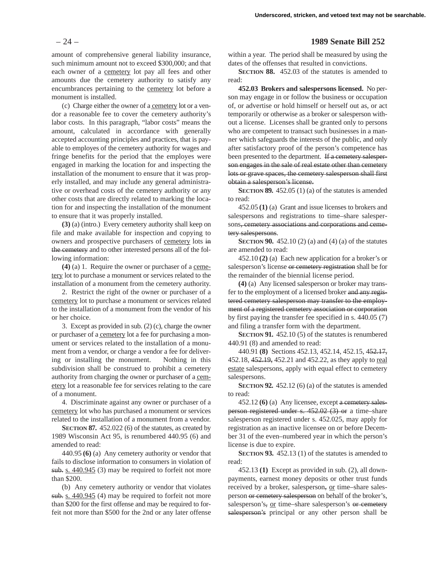amount of comprehensive general liability insurance, such minimum amount not to exceed \$300,000; and that each owner of a cemetery lot pay all fees and other amounts due the cemetery authority to satisfy any encumbrances pertaining to the cemetery lot before a monument is installed.

(c) Charge either the owner of a cemetery lot or a vendor a reasonable fee to cover the cemetery authority's labor costs. In this paragraph, "labor costs" means the amount, calculated in accordance with generally accepted accounting principles and practices, that is payable to employes of the cemetery authority for wages and fringe benefits for the period that the employes were engaged in marking the location for and inspecting the installation of the monument to ensure that it was properly installed, and may include any general administrative or overhead costs of the cemetery authority or any other costs that are directly related to marking the location for and inspecting the installation of the monument to ensure that it was properly installed.

**(3)** (a) (intro.) Every cemetery authority shall keep on file and make available for inspection and copying to owners and prospective purchasers of cemetery lots in the cemetery and to other interested persons all of the following information:

**(4)** (a) 1. Require the owner or purchaser of a cemetery lot to purchase a monument or services related to the installation of a monument from the cemetery authority.

2. Restrict the right of the owner or purchaser of a cemetery lot to purchase a monument or services related to the installation of a monument from the vendor of his or her choice.

3. Except as provided in sub. (2) (c), charge the owner or purchaser of a cemetery lot a fee for purchasing a monument or services related to the installation of a monument from a vendor, or charge a vendor a fee for delivering or installing the monument. Nothing in this subdivision shall be construed to prohibit a cemetery authority from charging the owner or purchaser of a cemetery lot a reasonable fee for services relating to the care of a monument.

4. Discriminate against any owner or purchaser of a cemetery lot who has purchased a monument or services related to the installation of a monument from a vendor.

**SECTION 87.** 452.022 (6) of the statutes, as created by 1989 Wisconsin Act 95, is renumbered 440.95 (6) and amended to read:

440.95 **(6)** (a) Any cemetery authority or vendor that fails to disclose information to consumers in violation of sub. s. 440.945 (3) may be required to forfeit not more than \$200.

(b) Any cemetery authority or vendor that violates sub. s. 440.945 (4) may be required to forfeit not more than \$200 for the first offense and may be required to forfeit not more than \$500 for the 2nd or any later offense

#### – 24 – **1989 Senate Bill 252**

within a year. The period shall be measured by using the dates of the offenses that resulted in convictions.

**SECTION 88.** 452.03 of the statutes is amended to read:

**452.03 Brokers and salespersons licensed.** No person may engage in or follow the business or occupation of, or advertise or hold himself or herself out as, or act temporarily or otherwise as a broker or salesperson without a license. Licenses shall be granted only to persons who are competent to transact such businesses in a manner which safeguards the interests of the public, and only after satisfactory proof of the person's competence has been presented to the department. If a cemetery salesperson engages in the sale of real estate other than cemetery lots or grave spaces, the cemetery salesperson shall first obtain a salesperson's license.

**SECTION 89.** 452.05 (1) (a) of the statutes is amended to read:

452.05 **(1)** (a) Grant and issue licenses to brokers and salespersons and registrations to time–share salespersons, cemetery associations and corporations and cemetery salespersons.

**SECTION 90.** 452.10 (2) (a) and (4) (a) of the statutes are amended to read:

452.10 **(2)** (a) Each new application for a broker's or salesperson's license or cemetery registration shall be for the remainder of the biennial license period.

**(4)** (a) Any licensed salesperson or broker may transfer to the employment of a licensed broker and any registered cemetery salesperson may transfer to the employment of a registered cemetery association or corporation by first paying the transfer fee specified in s. 440.05 (7) and filing a transfer form with the department.

**SECTION 91.** 452.10 (5) of the statutes is renumbered 440.91 (8) and amended to read:

440.91 **(8)** Sections 452.13, 452.14, 452.15, 452.17, 452.18, 452.19, 452.21 and 452.22, as they apply to real estate salespersons, apply with equal effect to cemetery salespersons.

**SECTION 92.** 452.12 (6) (a) of the statutes is amended to read:

452.12 **(6)** (a) Any licensee, except a cemetery salesperson registered under s. 452.02 (3) or a time–share salesperson registered under s. 452.025, may apply for registration as an inactive licensee on or before December 31 of the even–numbered year in which the person's license is due to expire.

**SECTION 93.** 452.13 (1) of the statutes is amended to read:

452.13 **(1)** Except as provided in sub. (2), all downpayments, earnest money deposits or other trust funds received by a broker, salesperson, or time–share salesperson or cemetery salesperson on behalf of the broker's, salesperson's, or time-share salesperson's or cemetery salesperson's principal or any other person shall be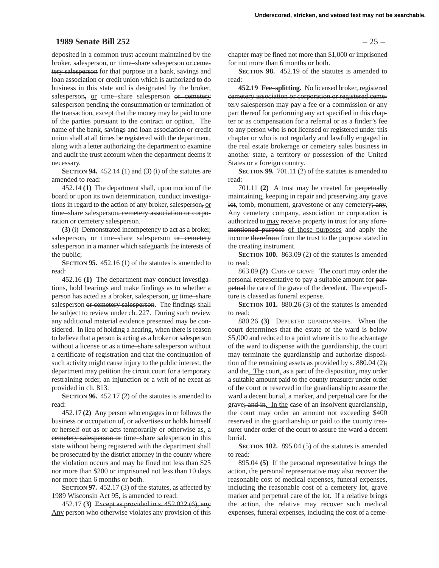# **1989 Senate Bill 252** – 25 –

deposited in a common trust account maintained by the broker, salesperson, or time–share salesperson or cemetery salesperson for that purpose in a bank, savings and loan association or credit union which is authorized to do business in this state and is designated by the broker, salesperson, or time–share salesperson or cemetery salesperson pending the consummation or termination of the transaction, except that the money may be paid to one of the parties pursuant to the contract or option. The name of the bank, savings and loan association or credit union shall at all times be registered with the department, along with a letter authorizing the department to examine and audit the trust account when the department deems it necessary.

**SECTION 94.** 452.14 (1) and (3) (i) of the statutes are amended to read:

452.14 **(1)** The department shall, upon motion of the board or upon its own determination, conduct investigations in regard to the action of any broker, salesperson, or time–share salesperson<del>, cemetery association or corpo-</del> ration or cemetery salesperson.

**(3)** (i) Demonstrated incompetency to act as a broker, salesperson, or time–share salesperson or cemetery salesperson in a manner which safeguards the interests of the public;

**SECTION 95.** 452.16 (1) of the statutes is amended to read:

452.16 **(1)** The department may conduct investigations, hold hearings and make findings as to whether a person has acted as a broker, salesperson, or time–share salesperson or cemetery salesperson. The findings shall be subject to review under ch. 227. During such review any additional material evidence presented may be considered. In lieu of holding a hearing, when there is reason to believe that a person is acting as a broker or salesperson without a license or as a time–share salesperson without a certificate of registration and that the continuation of such activity might cause injury to the public interest, the department may petition the circuit court for a temporary restraining order, an injunction or a writ of ne exeat as provided in ch. 813.

**SECTION 96.** 452.17 (2) of the statutes is amended to read:

452.17 **(2)** Any person who engages in or follows the business or occupation of, or advertises or holds himself or herself out as or acts temporarily or otherwise as, a cemetery salesperson or time–share salesperson in this state without being registered with the department shall be prosecuted by the district attorney in the county where the violation occurs and may be fined not less than \$25 nor more than \$200 or imprisoned not less than 10 days nor more than 6 months or both.

**SECTION 97.** 452.17 (3) of the statutes, as affected by 1989 Wisconsin Act 95, is amended to read:

452.17 **(3)** Except as provided in s. 452.022 (6), any Any person who otherwise violates any provision of this

chapter may be fined not more than \$1,000 or imprisoned for not more than 6 months or both.

**SECTION 98.** 452.19 of the statutes is amended to read:

**452.19 Fee–splitting.** No licensed broker, registered cemetery association or corporation or registered cemetery salesperson may pay a fee or a commission or any part thereof for performing any act specified in this chapter or as compensation for a referral or as a finder's fee to any person who is not licensed or registered under this chapter or who is not regularly and lawfully engaged in the real estate brokerage or cemetery sales business in another state, a territory or possession of the United States or a foreign country.

**SECTION 99.** 701.11 (2) of the statutes is amended to read:

701.11 **(2)** A trust may be created for perpetually maintaining, keeping in repair and preserving any grave lot, tomb, monument, gravestone or any cemetery; any. Any cemetery company, association or corporation is authorized to may receive property in trust for any aforementioned purpose of those purposes and apply the income therefrom from the trust to the purpose stated in the creating instrument.

**SECTION 100.** 863.09 (2) of the statutes is amended to read:

863.09 **(2)** CARE OF GRAVE. The court may order the personal representative to pay a suitable amount for perpetual the care of the grave of the decedent. The expenditure is classed as funeral expense.

**SECTION 101.** 880.26 (3) of the statutes is amended to read:

880.26 **(3)** DEPLETED GUARDIANSHIPS. When the court determines that the estate of the ward is below \$5,000 and reduced to a point where it is to the advantage of the ward to dispense with the guardianship, the court may terminate the guardianship and authorize disposition of the remaining assets as provided by s. 880.04  $(2)$ ; and the. The court, as a part of the disposition, may order a suitable amount paid to the county treasurer under order of the court or reserved in the guardianship to assure the ward a decent burial, a marker, and perpetual care for the grave; and in. In the case of an insolvent guardianship. the court may order an amount not exceeding \$400 reserved in the guardianship or paid to the county treasurer under order of the court to assure the ward a decent burial.

**SECTION 102.** 895.04 (5) of the statutes is amended to read:

895.04 **(5)** If the personal representative brings the action, the personal representative may also recover the reasonable cost of medical expenses, funeral expenses, including the reasonable cost of a cemetery lot, grave marker and perpetual care of the lot. If a relative brings the action, the relative may recover such medical expenses, funeral expenses, including the cost of a ceme-